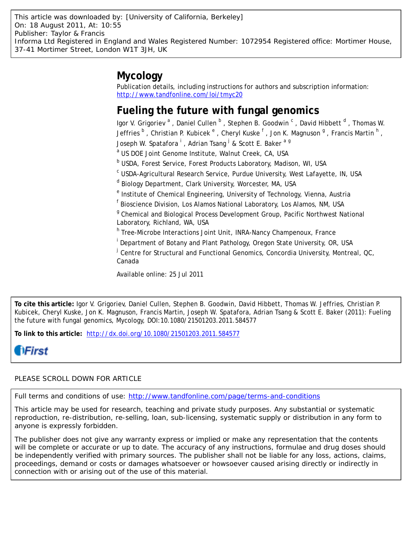# **Mycology**

Publication details, including instructions for authors and subscription information: <http://www.tandfonline.com/loi/tmyc20>

# **Fueling the future with fungal genomics**

lgor V. Grigoriev<sup>a</sup>, Daniel Cullen <sup>b</sup>, Stephen B. Goodwin  $\textdegree$ , David Hibbett  $\textdegree$ , Thomas W. Jeffries  $^{\textsf{b}}$  , Christian P. Kubicek  $^{\textsf{e}}$  , Cheryl Kuske  $^{\textsf{f}}$  , Jon K. Magnuson  $^{\textsf{g}}$  , Francis Martin  $^{\textsf{h}}$  , Joseph W. Spatafora <sup>i</sup> , Adrian Tsang <sup>j</sup> & Scott E. Baker <sup>a g</sup>

a US DOE Joint Genome Institute, Walnut Creek, CA, USA

**b USDA, Forest Service, Forest Products Laboratory, Madison, WI, USA** 

<sup>c</sup> USDA-Agricultural Research Service, Purdue University, West Lafayette, IN, USA

<sup>d</sup> Biology Department, Clark University, Worcester, MA, USA

- <sup>e</sup> Institute of Chemical Engineering, University of Technology, Vienna, Austria
- <sup>f</sup> Bioscience Division, Los Alamos National Laboratory, Los Alamos, NM, USA

<sup>g</sup> Chemical and Biological Process Development Group, Pacific Northwest National Laboratory, Richland, WA, USA

<sup>h</sup> Tree-Microbe Interactions Joint Unit, INRA-Nancy Champenoux, France

<sup>i</sup> Department of Botany and Plant Pathology, Oregon State University, OR, USA

<sup>j</sup> Centre for Structural and Functional Genomics, Concordia University, Montreal, QC, Canada

Available online: 25 Jul 2011

**To cite this article:** Igor V. Grigoriev, Daniel Cullen, Stephen B. Goodwin, David Hibbett, Thomas W. Jeffries, Christian P. Kubicek, Cheryl Kuske, Jon K. Magnuson, Francis Martin, Joseph W. Spatafora, Adrian Tsang & Scott E. Baker (2011): Fueling the future with fungal genomics, Mycology, DOI:10.1080/21501203.2011.584577

**To link to this article:** <http://dx.doi.org/10.1080/21501203.2011.584577>

# **HFirst**

# PLEASE SCROLL DOWN FOR ARTICLE

Full terms and conditions of use:<http://www.tandfonline.com/page/terms-and-conditions>

This article may be used for research, teaching and private study purposes. Any substantial or systematic reproduction, re-distribution, re-selling, loan, sub-licensing, systematic supply or distribution in any form to anyone is expressly forbidden.

The publisher does not give any warranty express or implied or make any representation that the contents will be complete or accurate or up to date. The accuracy of any instructions, formulae and drug doses should be independently verified with primary sources. The publisher shall not be liable for any loss, actions, claims, proceedings, demand or costs or damages whatsoever or howsoever caused arising directly or indirectly in connection with or arising out of the use of this material.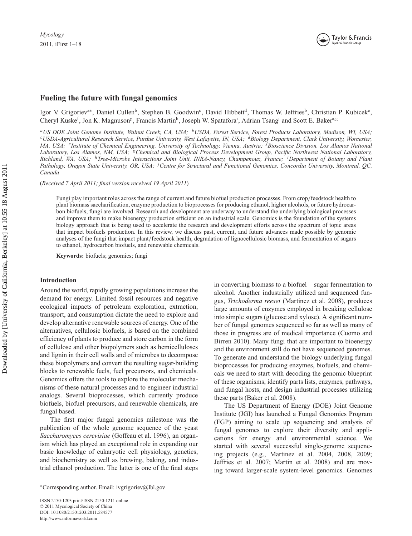

# **Fueling the future with fungal genomics**

Igor V. Grigoriev<sup>a∗</sup>, Daniel Cullen<sup>b</sup>, Stephen B. Goodwin<sup>c</sup>, David Hibbett<sup>d</sup>, Thomas W. Jeffries<sup>b</sup>, Christian P. Kubicek<sup>e</sup>, Cheryl Kuske<sup>f</sup>, Jon K. Magnuson<sup>g</sup>, Francis Martin<sup>h</sup>, Joseph W. Spatafora<sup>i</sup>, Adrian Tsang<sup>j</sup> and Scott E. Baker<sup>a,g</sup>

<sup>a</sup>US DOE Joint Genome Institute, Walnut Creek, CA, USA; <sup>b</sup>USDA, Forest Service, Forest Products Laboratory, Madison, WI, USA;<br><sup>c</sup>USDA-Agricultural Research Service, Purdue University, West Lafayette, IN, USA; <sup>d</sup>Biology *MA, USA; eInstitute of Chemical Engineering, University of Technology, Vienna, Austria; <sup>f</sup> Bioscience Division, Los Alamos National Laboratory, Los Alamos, NM, USA; gChemical and Biological Process Development Group, Pacific Northwest National Laboratory, Richland, WA, USA; hTree-Microbe Interactions Joint Unit, INRA-Nancy, Champenoux, France; <sup>i</sup> Department of Botany and Plant Pathology, Oregon State University, OR, USA; <sup>j</sup> Centre for Structural and Functional Genomics, Concordia University, Montreal, QC, Canada*

(*Received 7 April 2011; final version received 19 April 2011*)

Fungi play important roles across the range of current and future biofuel production processes. From crop/feedstock health to plant biomass saccharification, enzyme production to bioprocesses for producing ethanol, higher alcohols, or future hydrocarbon biofuels, fungi are involved. Research and development are underway to understand the underlying biological processes and improve them to make bioenergy production efficient on an industrial scale. Genomics is the foundation of the systems biology approach that is being used to accelerate the research and development efforts across the spectrum of topic areas that impact biofuels production. In this review, we discuss past, current, and future advances made possible by genomic analyses of the fungi that impact plant/feedstock health, degradation of lignocellulosic biomass, and fermentation of sugars to ethanol, hydrocarbon biofuels, and renewable chemicals.

**Keywords:** biofuels; genomics; fungi

### **Introduction**

Around the world, rapidly growing populations increase the demand for energy. Limited fossil resources and negative ecological impacts of petroleum exploration, extraction, transport, and consumption dictate the need to explore and develop alternative renewable sources of energy. One of the alternatives, cellulosic biofuels, is based on the combined efficiency of plants to produce and store carbon in the form of cellulose and other biopolymers such as hemicelluloses and lignin in their cell walls and of microbes to decompose these biopolymers and convert the resulting sugar-building blocks to renewable fuels, fuel precursors, and chemicals. Genomics offers the tools to explore the molecular mechanisms of these natural processes and to engineer industrial analogs. Several bioprocesses, which currently produce biofuels, biofuel precursors, and renewable chemicals, are fungal based.

The first major fungal genomics milestone was the publication of the whole genome sequence of the yeast *Saccharomyces cerevisiae* (Goffeau et al. 1996), an organism which has played an exceptional role in expanding our basic knowledge of eukaryotic cell physiology, genetics, and biochemistry as well as brewing, baking, and industrial ethanol production. The latter is one of the final steps

in converting biomass to a biofuel – sugar fermentation to alcohol. Another industrially utilized and sequenced fungus, *Trichoderma reesei* (Martinez et al. 2008), produces large amounts of enzymes employed in breaking cellulose into simple sugars (glucose and xylose). A significant number of fungal genomes sequenced so far as well as many of those in progress are of medical importance (Cuomo and Birren 2010). Many fungi that are important to bioenergy and the environment still do not have sequenced genomes. To generate and understand the biology underlying fungal bioprocesses for producing enzymes, biofuels, and chemicals we need to start with decoding the genomic blueprint of these organisms, identify parts lists, enzymes, pathways, and fungal hosts, and design industrial processes utilizing these parts (Baker et al. 2008).

The US Department of Energy (DOE) Joint Genome Institute (JGI) has launched a Fungal Genomics Program (FGP) aiming to scale up sequencing and analysis of fungal genomes to explore their diversity and applications for energy and environmental science. We started with several successful single-genome sequencing projects (e.g., Martinez et al. 2004, 2008, 2009; Jeffries et al. 2007; Martin et al. 2008) and are moving toward larger-scale system-level genomics. Genomes

<sup>∗</sup>Corresponding author. Email: ivgrigoriev@lbl.gov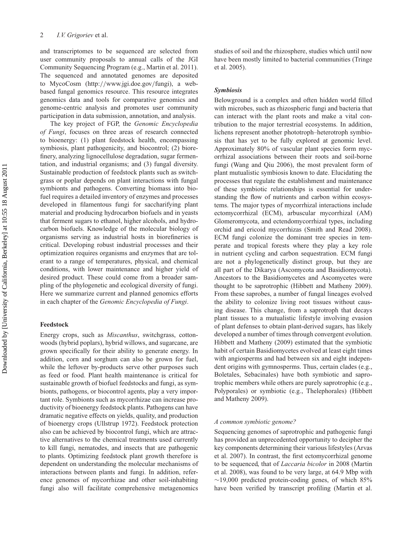and transcriptomes to be sequenced are selected from user community proposals to annual calls of the JGI Community Sequencing Program (e.g., Martin et al. 2011). The sequenced and annotated genomes are deposited to MycoCosm (http://www.jgi.doe.gov/fungi), a webbased fungal genomics resource. This resource integrates genomics data and tools for comparative genomics and genome-centric analysis and promotes user community participation in data submission, annotation, and analysis.

The key project of FGP, the *Genomic Encyclopedia of Fungi*, focuses on three areas of research connected to bioenergy: (1) plant feedstock health, encompassing symbiosis, plant pathogenicity, and biocontrol; (2) biorefinery, analyzing lignocellulose degradation, sugar fermentation, and industrial organisms; and (3) fungal diversity. Sustainable production of feedstock plants such as switchgrass or poplar depends on plant interactions with fungal symbionts and pathogens. Converting biomass into biofuel requires a detailed inventory of enzymes and processes developed in filamentous fungi for saccharifying plant material and producing hydrocarbon biofuels and in yeasts that ferment sugars to ethanol, higher alcohols, and hydrocarbon biofuels. Knowledge of the molecular biology of organisms serving as industrial hosts in biorefineries is critical. Developing robust industrial processes and their optimization requires organisms and enzymes that are tolerant to a range of temperatures, physical, and chemical conditions, with lower maintenance and higher yield of desired product. These could come from a broader sampling of the phylogenetic and ecological diversity of fungi. Here we summarize current and planned genomics efforts in each chapter of the *Genomic Encyclopedia of Fungi*.

#### **Feedstock**

Energy crops, such as *Miscanthus*, switchgrass, cottonwoods (hybrid poplars), hybrid willows, and sugarcane, are grown specifically for their ability to generate energy. In addition, corn and sorghum can also be grown for fuel, while the leftover by-products serve other purposes such as feed or food. Plant health maintenance is critical for sustainable growth of biofuel feedstocks and fungi, as symbionts, pathogens, or biocontrol agents, play a very important role. Symbionts such as mycorrhizae can increase productivity of bioenergy feedstock plants. Pathogens can have dramatic negative effects on yields, quality, and production of bioenergy crops (Ullstrup 1972). Feedstock protection also can be achieved by biocontrol fungi, which are attractive alternatives to the chemical treatments used currently to kill fungi, nematodes, and insects that are pathogenic to plants. Optimizing feedstock plant growth therefore is dependent on understanding the molecular mechanisms of interactions between plants and fungi. In addition, reference genomes of mycorrhizae and other soil-inhabiting fungi also will facilitate comprehensive metagenomics

studies of soil and the rhizosphere, studies which until now have been mostly limited to bacterial communities (Tringe et al. 2005).

### *Symbiosis*

Belowground is a complex and often hidden world filled with microbes, such as rhizospheric fungi and bacteria that can interact with the plant roots and make a vital contribution to the major terrestrial ecosystems. In addition, lichens represent another phototroph–heterotroph symbiosis that has yet to be fully explored at genomic level. Approximately 80% of vascular plant species form mycorrhizal associations between their roots and soil-borne fungi (Wang and Qiu 2006), the most prevalent form of plant mutualistic symbiosis known to date. Elucidating the processes that regulate the establishment and maintenance of these symbiotic relationships is essential for understanding the flow of nutrients and carbon within ecosystems. The major types of mycorrhizal interactions include ectomycorrhizal (ECM), arbuscular mycorrhizal (AM) Glomeromycota, and ectendomycorrhizal types, including orchid and ericoid mycorrhizas (Smith and Read 2008). ECM fungi colonize the dominant tree species in temperate and tropical forests where they play a key role in nutrient cycling and carbon sequestration. ECM fungi are not a phylogenetically distinct group, but they are all part of the Dikarya (Ascomycota and Basidiomycota). Ancestors to the Basidiomycetes and Ascomycetes were thought to be saprotrophic (Hibbett and Matheny 2009). From these saprobes, a number of fungal lineages evolved the ability to colonize living root tissues without causing disease. This change, from a saprotroph that decays plant tissues to a mutualistic lifestyle involving evasion of plant defenses to obtain plant-derived sugars, has likely developed a number of times through convergent evolution. Hibbett and Matheny (2009) estimated that the symbiotic habit of certain Basidiomycetes evolved at least eight times with angiosperms and had between six and eight independent origins with gymnosperms. Thus, certain clades (e.g., Boletales, Sebacinales) have both symbiotic and saprotrophic members while others are purely saprotrophic (e.g., Polyporales) or symbiotic (e.g., Thelephorales) (Hibbett and Matheny 2009).

#### *A common symbiotic genome?*

Sequencing genomes of saprotrophic and pathogenic fungi has provided an unprecedented opportunity to decipher the key components determining their various lifestyles (Arvas et al. 2007). In contrast, the first ectomycorrhizal genome to be sequenced, that of *Laccaria bicolor* in 2008 (Martin et al. 2008), was found to be very large, at 64.9 Mbp with  $\sim$ 19,000 predicted protein-coding genes, of which 85% have been verified by transcript profiling (Martin et al.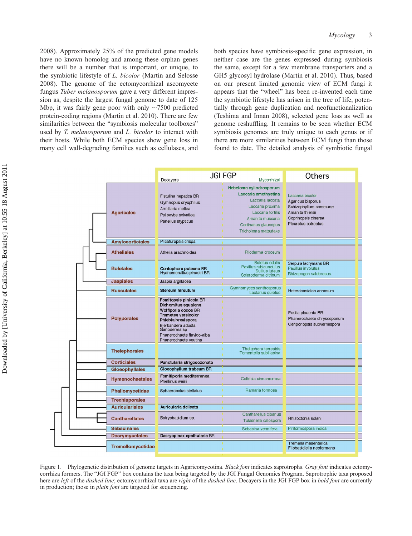2008). Approximately 25% of the predicted gene models have no known homolog and among these orphan genes there will be a number that is important, or unique, to the symbiotic lifestyle of *L. bicolor* (Martin and Selosse 2008). The genome of the ectomycorrhizal ascomycete fungus *Tuber melanosporum* gave a very different impression as, despite the largest fungal genome to date of 125 Mbp, it was fairly gene poor with only ∼7500 predicted protein-coding regions (Martin et al. 2010). There are few similarities between the "symbiosis molecular toolboxes" used by *T. melanosporum* and *L. bicolor* to interact with their hosts. While both ECM species show gene loss in many cell wall-degrading families such as cellulases, and

both species have symbiosis-specific gene expression, in neither case are the genes expressed during symbiosis the same, except for a few membrane transporters and a GH5 glycosyl hydrolase (Martin et al. 2010). Thus, based on our present limited genomic view of ECM fungi it appears that the "wheel" has been re-invented each time the symbiotic lifestyle has arisen in the tree of life, potentially through gene duplication and neofunctionalization (Teshima and Innan 2008), selected gene loss as well as genome reshuffling. It remains to be seen whether ECM symbiosis genomes are truly unique to each genus or if there are more similarities between ECM fungi than those found to date. The detailed analysis of symbiotic fungal

|                         | Decayers                                                                                                                                                                                                              | <b>JGI FGP</b><br>Mycorrhizal                                                                                                                                                     | Others                                                                                                                           |
|-------------------------|-----------------------------------------------------------------------------------------------------------------------------------------------------------------------------------------------------------------------|-----------------------------------------------------------------------------------------------------------------------------------------------------------------------------------|----------------------------------------------------------------------------------------------------------------------------------|
| <b>Agaricales</b>       | Fistulina hepatica BR<br>Gymnopus dryophilus<br>Armillaria mellea<br>Psilocybe sylvatica<br>Panellus stypticus                                                                                                        | Hebeloma cylindrosporum<br>Laccaria amethystina<br>Laccaria laccata<br>Laccaria proxima<br>Laccaria tortilis<br>Amanita muscaria<br>Cortinarius glaucopus<br>Tricholoma matsutake | Laccaria bicolor<br>Agaricus bisporus<br>Schizophyllum commune<br>Amanita thiersii<br>Coprinopsis cinerea<br>Pleurotus ostreatus |
| <b>Amylocorticiales</b> | Plicaturopsis crispa                                                                                                                                                                                                  |                                                                                                                                                                                   |                                                                                                                                  |
| <b>Atheliales</b>       | Athelia arachnoidea                                                                                                                                                                                                   | Piloderma croceum                                                                                                                                                                 |                                                                                                                                  |
| <b>Boletales</b>        | Coniophora puteana BR<br>Hydnomeruilius pinastri BR                                                                                                                                                                   | <b>Boletus edulis</b><br>Paxillus rubicundulus<br>Suillus luteus<br>Scleroderma citrinum                                                                                          | Serpula lacrymans BR<br>Paxillus involutus<br>Rhizopogon salebrosus                                                              |
| <b>Jaapiales</b>        | Jaapia argillacea                                                                                                                                                                                                     |                                                                                                                                                                                   |                                                                                                                                  |
| <b>Russulales</b>       | <b>Stereum hirsutum</b>                                                                                                                                                                                               | Gymnomyces xanthosporus<br>Lactarius quietus                                                                                                                                      | Heterobasidion annosum                                                                                                           |
| <b>Polyporales</b>      | Fomitopsis pinicola BR<br>Dichomitus squalens<br>Wolfiporia cocos BR<br><b>Trametes versicolor</b><br>Phlebia brevispora<br>Bjerkandera adusta<br>Ganoderma sp<br>Phanerochaete flavido-alba<br>Phanerochaete veutina |                                                                                                                                                                                   | Postia placenta BR<br>Phanerochaete chrysosporium<br>Ceriporiopsis subvermispora                                                 |
| <b>Thelephorales</b>    |                                                                                                                                                                                                                       | Thelephora terrestris<br>Tomentella sublilacina                                                                                                                                   |                                                                                                                                  |
| <b>Corticiales</b>      | Punctularia strigosozonata                                                                                                                                                                                            |                                                                                                                                                                                   |                                                                                                                                  |
| <b>Gloeophyllales</b>   | Gloeophyllum trabeum BR                                                                                                                                                                                               |                                                                                                                                                                                   |                                                                                                                                  |
| <b>Hymenochaetales</b>  | Fomitiporia mediterranea<br>Phellinus weirii                                                                                                                                                                          | Coltricia cinnamomea                                                                                                                                                              |                                                                                                                                  |
| Phallomycetidae         | Sphaerobolus stellatus                                                                                                                                                                                                | Ramaria formosa                                                                                                                                                                   |                                                                                                                                  |
| <b>Trechisporales</b>   |                                                                                                                                                                                                                       |                                                                                                                                                                                   |                                                                                                                                  |
| <b>Auriculariales</b>   | Auricularia delicata                                                                                                                                                                                                  |                                                                                                                                                                                   |                                                                                                                                  |
| <b>Cantharellales</b>   | Botryobasidium sp.                                                                                                                                                                                                    | Cantharellus cibarius<br>Tulasnella calospora                                                                                                                                     | Rhizoctonia solani                                                                                                               |
| <b>Sebacinales</b>      |                                                                                                                                                                                                                       | Sebacina vermifera                                                                                                                                                                | Piriformospora indica                                                                                                            |
| <b>Dacrymycetales</b>   | Dacryopinax spathularia BR                                                                                                                                                                                            |                                                                                                                                                                                   |                                                                                                                                  |
| Tremellomycetidae       |                                                                                                                                                                                                                       |                                                                                                                                                                                   | Tremella mesenterica<br>Filobasidiella neoformans                                                                                |

Figure 1. Phylogenetic distribution of genome targets in Agaricomycotina. *Black font* indicates saprotrophs. *Gray font* indicates ectomycorrhiza formers. The "JGI FGP" box contains the taxa being targeted by the JGI Fungal Genomics Program. Saprotrophic taxa proposed here are *left* of the *dashed line*; ectomycorrhizal taxa are *right* of the *dashed line*. Decayers in the JGI FGP box in *bold font* are currently in production; those in *plain font* are targeted for sequencing.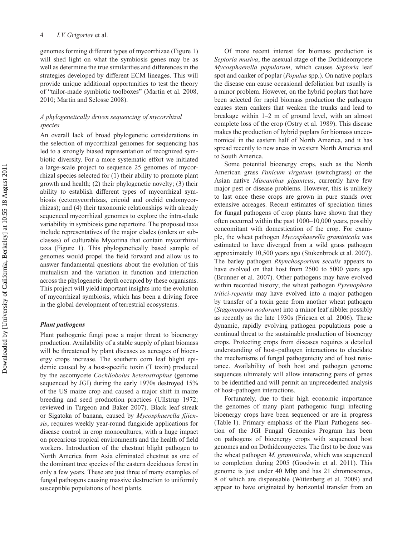genomes forming different types of mycorrhizae (Figure 1) will shed light on what the symbiosis genes may be as well as determine the true similarities and differences in the strategies developed by different ECM lineages. This will provide unique additional opportunities to test the theory of "tailor-made symbiotic toolboxes" (Martin et al. 2008, 2010; Martin and Selosse 2008).

## *A phylogenetically driven sequencing of mycorrhizal species*

An overall lack of broad phylogenetic considerations in the selection of mycorrhizal genomes for sequencing has led to a strongly biased representation of recognized symbiotic diversity. For a more systematic effort we initiated a large-scale project to sequence 25 genomes of mycorrhizal species selected for (1) their ability to promote plant growth and health; (2) their phylogenetic novelty; (3) their ability to establish different types of mycorrhizal symbiosis (ectomycorrhizas, ericoid and orchid endomycorrhizas); and (4) their taxonomic relationships with already sequenced mycorrhizal genomes to explore the intra-clade variability in symbiosis gene repertoire. The proposed taxa include representatives of the major clades (orders or subclasses) of culturable Mycotina that contain mycorrhizal taxa (Figure 1). This phylogenetically based sample of genomes would propel the field forward and allow us to answer fundamental questions about the evolution of this mutualism and the variation in function and interaction across the phylogenetic depth occupied by these organisms. This project will yield important insights into the evolution of mycorrhizal symbiosis, which has been a driving force in the global development of terrestrial ecosystems.

#### *Plant pathogens*

Plant pathogenic fungi pose a major threat to bioenergy production. Availability of a stable supply of plant biomass will be threatened by plant diseases as acreages of bioenergy crops increase. The southern corn leaf blight epidemic caused by a host-specific toxin (T toxin) produced by the ascomycete *Cochliobolus heterostrophus* (genome sequenced by JGI) during the early 1970s destroyed 15% of the US maize crop and caused a major shift in maize breeding and seed production practices (Ullstrup 1972; reviewed in Turgeon and Baker 2007). Black leaf streak or Sigatoka of banana, caused by *Mycosphaerella fijiensis*, requires weekly year-round fungicide applications for disease control in crop monocultures, with a huge impact on precarious tropical environments and the health of field workers. Introduction of the chestnut blight pathogen to North America from Asia eliminated chestnut as one of the dominant tree species of the eastern deciduous forest in only a few years. These are just three of many examples of fungal pathogens causing massive destruction to uniformly susceptible populations of host plants.

Of more recent interest for biomass production is *Septoria musiva*, the asexual stage of the Dothideomycete *Mycosphaerella populorum*, which causes *Septoria* leaf spot and canker of poplar (*Populus* spp.). On native poplars the disease can cause occasional defoliation but usually is a minor problem. However, on the hybrid poplars that have been selected for rapid biomass production the pathogen causes stem cankers that weaken the trunks and lead to breakage within 1–2 m of ground level, with an almost complete loss of the crop (Ostry et al. 1989). This disease makes the production of hybrid poplars for biomass uneconomical in the eastern half of North America, and it has spread recently to new areas in western North America and to South America.

Some potential bioenergy crops, such as the North American grass *Panicum virgatum* (switchgrass) or the Asian native *Miscanthus giganteus*, currently have few major pest or disease problems. However, this is unlikely to last once these crops are grown in pure stands over extensive acreages. Recent estimates of speciation times for fungal pathogens of crop plants have shown that they often occurred within the past 1000–10,000 years, possibly concomitant with domestication of the crop. For example, the wheat pathogen *Mycosphaerella graminicola* was estimated to have diverged from a wild grass pathogen approximately 10,500 years ago (Stukenbrock et al. 2007). The barley pathogen *Rhynchosporium secalis* appears to have evolved on that host from 2500 to 5000 years ago (Brunner et al. 2007). Other pathogens may have evolved within recorded history; the wheat pathogen *Pyrenophora tritici-repentis* may have evolved into a major pathogen by transfer of a toxin gene from another wheat pathogen (*Stagonospora nodorum*) into a minor leaf nibbler possibly as recently as the late 1930s (Friesen et al. 2006). These dynamic, rapidly evolving pathogen populations pose a continual threat to the sustainable production of bioenergy crops. Protecting crops from diseases requires a detailed understanding of host–pathogen interactions to elucidate the mechanisms of fungal pathogenicity and of host resistance. Availability of both host and pathogen genome sequences ultimately will allow interacting pairs of genes to be identified and will permit an unprecedented analysis of host–pathogen interactions.

Fortunately, due to their high economic importance the genomes of many plant pathogenic fungi infecting bioenergy crops have been sequenced or are in progress (Table 1). Primary emphasis of the Plant Pathogens section of the JGI Fungal Genomics Program has been on pathogens of bioenergy crops with sequenced host genomes and on Dothideomycetes. The first to be done was the wheat pathogen *M. graminicola*, which was sequenced to completion during 2005 (Goodwin et al. 2011). This genome is just under 40 Mbp and has 21 chromosomes, 8 of which are dispensable (Wittenberg et al. 2009) and appear to have originated by horizontal transfer from an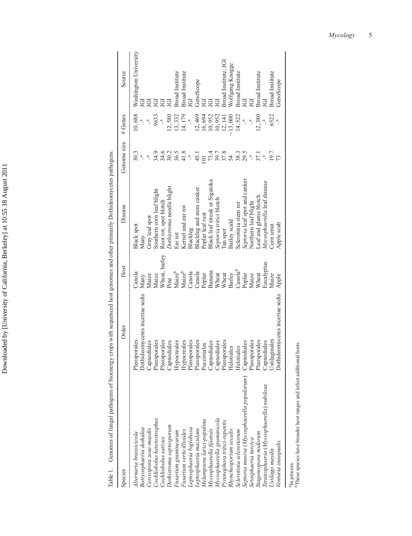| I<br>I<br>١   |
|---------------|
| I             |
| $\frac{1}{1}$ |
| l             |
|               |
| 1             |
| l<br>:<br>;   |
| ï             |
| l<br>j        |
| .<br>נו<br>l  |
|               |
| ļ             |

Table 1. Genomes of fungal pathogens of bioenergy crops with sequenced host genomes and other primarily Dothideomycetes pathogens. Table 1. Genomes of fungal pathogens of bioenergy crops with sequenced host genomes and other primarily Dothideomycetes pathogens.

| Species                                                                                                                                                                                                                                                                                                                                                                                                                                                                                                                                                                                                                                               | Order                                                                                                                                                                                                                                                                                                                                                                 | Host                                                                                                                                                                                                                                        | Disease                                                                                                                                                                                                                                                                                                                                                                                                                                                                                 | Genome size                                                                                                                                                                                                                                         | # Genes                                                                                                                                                                                                          | Source                                                                                                                                                                                                                                                                          |
|-------------------------------------------------------------------------------------------------------------------------------------------------------------------------------------------------------------------------------------------------------------------------------------------------------------------------------------------------------------------------------------------------------------------------------------------------------------------------------------------------------------------------------------------------------------------------------------------------------------------------------------------------------|-----------------------------------------------------------------------------------------------------------------------------------------------------------------------------------------------------------------------------------------------------------------------------------------------------------------------------------------------------------------------|---------------------------------------------------------------------------------------------------------------------------------------------------------------------------------------------------------------------------------------------|-----------------------------------------------------------------------------------------------------------------------------------------------------------------------------------------------------------------------------------------------------------------------------------------------------------------------------------------------------------------------------------------------------------------------------------------------------------------------------------------|-----------------------------------------------------------------------------------------------------------------------------------------------------------------------------------------------------------------------------------------------------|------------------------------------------------------------------------------------------------------------------------------------------------------------------------------------------------------------------|---------------------------------------------------------------------------------------------------------------------------------------------------------------------------------------------------------------------------------------------------------------------------------|
| Septoria musiva (Mycosphaerella populorum) Capnodiales<br>Teratosphaeria (Mycosphaerella) nubilosa<br>Mycosphaerella graminicola<br>Cochliobolus heterostrophus<br>Melampsora larici-populina<br>Pyrenophora tritici-repentis<br>Dothistroma septosporum<br>Botryosphaeria dothidea<br>Leptosphaeria biglobosa<br>Cercospora zeae-maydis<br>Leptosphaeria maculans<br>Mycosphaerella fijiensis<br>Rhynchosporium secalis<br>Fusarium verticillioides<br>Sclerotinia sclerotiorum<br>Fusarium graminearum<br>Stagonospora nodorum<br>Alternaria brassicicola<br>Cochliobolus sativus<br>Setosphaeria turcica<br>Venturia inaequalis<br>Ustilago maydis | Dothideomycetes incertae sedis<br>Dothideomycetes incertae sedis<br>Ustilaginales<br>Pleosporales<br>Pleosporales<br>Pleosporales<br>Pleosporales<br>Pleosporales<br>Pleosporales<br>Pleosporales<br>Pleosporales<br>Hypocreales<br>Hypocreales<br>Capnodiales<br>Capnodiales<br>Capnodiales<br>Capnodiales<br>Capnodiales<br>Pucciniales<br>Helotiales<br>Helotiales | Wheat, barley<br>Eucalyptus<br>$\text{Canola}^{\text{b}}$<br>Banana<br>Maizeb<br>Maizeb<br>Canola<br>Canola<br>Canola<br>Poplar<br>Wheat<br>Wheat<br>Barley<br>Wheat<br>Poplar<br>Maize<br>Apple<br>Maize<br>Maize<br>Maize<br>Many<br>Pine | Septoria leaf spot and canker<br>Black leaf streak or Sigatoka<br>Mycosphaerella leaf disease<br>Dothistroma needle blight<br>Blackleg and stem canker<br>Southern corn leaf blight<br>Leaf and glume blotch<br>Septoria tritici blotch<br>Root rot, spot blotch<br>Northern leaf blight<br>Sclerotinia stem rot<br>Kernel and ear rot<br>Poplar leaf rust<br>Gray leaf spot<br>Barley scald<br>Apple scab<br><b>Black spot</b><br>Corn smut<br>Blackleg<br>Tan spot<br>Ear rot<br>Many | $59.88$<br>$7.8$<br>$7.8$<br>$4.78$<br>9.4.4.0<br>3.4.5<br>3.0.2<br>$38.3$<br>$29.5$<br>19.7<br>36.5<br>41.8<br>50.3<br>37.1<br>45.1<br>$\mathbb{R}$<br>$\begin{array}{c} \n\alpha \n\end{array}$<br>$\mathbb{F}$<br>$\mathbb{R}$<br>$\overline{0}$ | 10,688<br>13,332<br>12,469<br>6522<br>12,580<br>14, 179<br>16,694<br>10,952<br>14,522<br>12,380<br>9633<br>10,952<br>12,141<br>$-13,000$<br>$\mathbb{R}$<br>$\mathbb{R}$<br>$\frac{a}{\sqrt{a}}$<br>$\mathbf{r}$ | Washington University<br>Broad Institute, JGI<br>Wolfgang Knogge<br>Broad Institute<br><b>Broad</b> Institute<br><b>Broad Institute</b><br>Broad Institute<br><b>Broad Institute</b><br>GenoScope<br>GenoScope<br>JGI<br>JGI<br>ğ<br>ē<br>ē<br>ē<br>ğ<br>ਦੁ<br>ē<br>ğ<br>ē<br>ē |
|                                                                                                                                                                                                                                                                                                                                                                                                                                                                                                                                                                                                                                                       |                                                                                                                                                                                                                                                                                                                                                                       |                                                                                                                                                                                                                                             |                                                                                                                                                                                                                                                                                                                                                                                                                                                                                         |                                                                                                                                                                                                                                                     |                                                                                                                                                                                                                  |                                                                                                                                                                                                                                                                                 |

a<sub>In process.</sub>

 $^{\rm a}$  In process. <br>  $^{\rm b}$  These species have broader host ranges and infect additional hosts. bThese species have broader host ranges and infect additional hosts.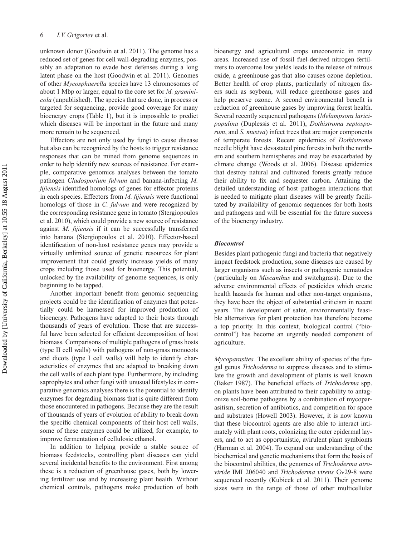unknown donor (Goodwin et al. 2011). The genome has a reduced set of genes for cell wall-degrading enzymes, possibly an adaptation to evade host defenses during a long latent phase on the host (Goodwin et al. 2011). Genomes of other *Mycosphaerella* species have 13 chromosomes of about 1 Mbp or larger, equal to the core set for *M. graminicola* (unpublished). The species that are done, in process or targeted for sequencing, provide good coverage for many bioenergy crops (Table 1), but it is impossible to predict which diseases will be important in the future and many more remain to be sequenced.

Effectors are not only used by fungi to cause disease but also can be recognized by the hosts to trigger resistance responses that can be mined from genome sequences in order to help identify new sources of resistance. For example, comparative genomics analyses between the tomato pathogen *Cladosporium fulvum* and banana-infecting *M. fijiensis* identified homologs of genes for effector proteins in each species. Effectors from *M. fijiensis* were functional homologs of those in *C. fulvum* and were recognized by the corresponding resistance gene in tomato (Stergiopoulos et al. 2010), which could provide a new source of resistance against *M. fijiensis* if it can be successfully transferred into banana (Stergiopoulos et al. 2010). Effector-based identification of non-host resistance genes may provide a virtually unlimited source of genetic resources for plant improvement that could greatly increase yields of many crops including those used for bioenergy. This potential, unlocked by the availability of genome sequences, is only beginning to be tapped.

Another important benefit from genomic sequencing projects could be the identification of enzymes that potentially could be harnessed for improved production of bioenergy. Pathogens have adapted to their hosts through thousands of years of evolution. Those that are successful have been selected for efficient decomposition of host biomass. Comparisons of multiple pathogens of grass hosts (type II cell walls) with pathogens of non-grass monocots and dicots (type I cell walls) will help to identify characteristics of enzymes that are adapted to breaking down the cell walls of each plant type. Furthermore, by including saprophytes and other fungi with unusual lifestyles in comparative genomics analyses there is the potential to identify enzymes for degrading biomass that is quite different from those encountered in pathogens. Because they are the result of thousands of years of evolution of ability to break down the specific chemical components of their host cell walls, some of these enzymes could be utilized, for example, to improve fermentation of cellulosic ethanol.

In addition to helping provide a stable source of biomass feedstocks, controlling plant diseases can yield several incidental benefits to the environment. First among these is a reduction of greenhouse gases, both by lowering fertilizer use and by increasing plant health. Without chemical controls, pathogens make production of both

bioenergy and agricultural crops uneconomic in many areas. Increased use of fossil fuel-derived nitrogen fertilizers to overcome low yields leads to the release of nitrous oxide, a greenhouse gas that also causes ozone depletion. Better health of crop plants, particularly of nitrogen fixers such as soybean, will reduce greenhouse gases and help preserve ozone. A second environmental benefit is reduction of greenhouse gases by improving forest health. Several recently sequenced pathogens (*Melampsora laricipopulina* (Duplessis et al. 2011), *Dothistroma septosporum*, and *S. musiva*) infect trees that are major components of temperate forests. Recent epidemics of *Dothistroma* needle blight have devastated pine forests in both the northern and southern hemispheres and may be exacerbated by climate change (Woods et al. 2006). Disease epidemics that destroy natural and cultivated forests greatly reduce their ability to fix and sequester carbon. Attaining the detailed understanding of host–pathogen interactions that is needed to mitigate plant diseases will be greatly facilitated by availability of genomic sequences for both hosts and pathogens and will be essential for the future success of the bioenergy industry.

#### *Biocontrol*

Besides plant pathogenic fungi and bacteria that negatively impact feedstock production, some diseases are caused by larger organisms such as insects or pathogenic nematodes (particularly on *Miscanthus* and switchgrass). Due to the adverse environmental effects of pesticides which create health hazards for human and other non-target organisms, they have been the object of substantial criticism in recent years. The development of safer, environmentally feasible alternatives for plant protection has therefore become a top priority. In this context, biological control ("biocontrol") has become an urgently needed component of agriculture.

*Mycoparasites.* The excellent ability of species of the fungal genus *Trichoderma* to suppress diseases and to stimulate the growth and development of plants is well known (Baker 1987). The beneficial effects of *Trichoderma* spp. on plants have been attributed to their capability to antagonize soil-borne pathogens by a combination of mycoparasitism, secretion of antibiotics, and competition for space and substrates (Howell 2003). However, it is now known that these biocontrol agents are also able to interact intimately with plant roots, colonizing the outer epidermal layers, and to act as opportunistic, avirulent plant symbionts (Harman et al. 2004). To expand our understanding of the biochemical and genetic mechanisms that form the basis of the biocontrol abilities, the genomes of *Trichoderma atroviride* IMI 206040 and *Trichoderma virens* Gv29-8 were sequenced recently (Kubicek et al. 2011). Their genome sizes were in the range of those of other multicellular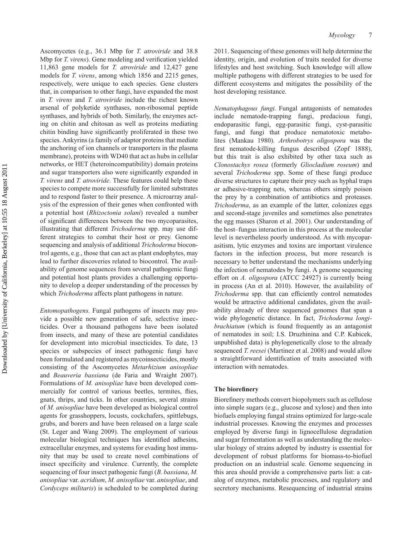Ascomycetes (e.g., 36.1 Mbp for *T. atroviride* and 38.8 Mbp for *T. virens*). Gene modeling and verification yielded 11,863 gene models for *T. atroviride* and 12,427 gene models for *T. virens*, among which 1856 and 2215 genes, respectively, were unique to each species. Gene clusters that, in comparison to other fungi, have expanded the most in *T. virens* and *T. atroviride* include the richest known arsenal of polyketide synthases, non-ribosomal peptide synthases, and hybrids of both. Similarly, the enzymes acting on chitin and chitosan as well as proteins mediating chitin binding have significantly proliferated in these two species. Ankyrins (a family of adaptor proteins that mediate the anchoring of ion channels or transporters in the plasma membrane), proteins with WD40 that act as hubs in cellular networks, or HET (heteroincompatibility) domain proteins and sugar transporters also were significantly expanded in *T. virens* and *T. atroviride*. These features could help these species to compete more successfully for limited substrates and to respond faster to their presence. A microarray analysis of the expression of their genes when confronted with a potential host (*Rhizoctonia solani*) revealed a number of significant differences between the two mycoparasites, illustrating that different *Trichoderma* spp. may use different strategies to combat their host or prey. Genome sequencing and analysis of additional *Trichoderma* biocontrol agents, e.g., those that can act as plant endophytes, may lead to further discoveries related to biocontrol. The availability of genome sequences from several pathogenic fungi and potential host plants provides a challenging opportunity to develop a deeper understanding of the processes by which *Trichoderma* affects plant pathogens in nature.

*Entomopathogens.* Fungal pathogens of insects may provide a possible new generation of safe, selective insecticides. Over a thousand pathogens have been isolated from insects, and many of these are potential candidates for development into microbial insecticides. To date, 13 species or subspecies of insect pathogenic fungi have been formulated and registered as mycoinsecticides, mostly consisting of the Ascomycetes *Metarhizium anisopliae* and *Beauveria bassiana* (de Faria and Wraight 2007). Formulations of *M. anisopliae* have been developed commercially for control of various beetles, termites, flies, gnats, thrips, and ticks. In other countries, several strains of *M. anisopliae* have been developed as biological control agents for grasshoppers, locusts, cockchafers, spittlebugs, grubs, and borers and have been released on a large scale (St. Leger and Wang 2009). The employment of various molecular biological techniques has identified adhesins, extracellular enzymes, and systems for evading host immunity that may be used to create novel combinations of insect specificity and virulence. Currently, the complete sequencing of four insect pathogenic fungi (*B. bassiana*, *M. anisopliae* var. *acridium*, *M. anisopliae* var. *anisopliae*, and *Cordyceps militaris*) is scheduled to be completed during

2011. Sequencing of these genomes will help determine the identity, origin, and evolution of traits needed for diverse lifestyles and host switching. Such knowledge will allow multiple pathogens with different strategies to be used for different ecosystems and mitigates the possibility of the host developing resistance.

*Nematophagous fungi.* Fungal antagonists of nematodes include nematode-trapping fungi, predacious fungi, endoparasitic fungi, egg-parasitic fungi, cyst-parasitic fungi, and fungi that produce nematotoxic metabolites (Mankau 1980). *Arthrobotrys oligospora* was the first nematode-killing fungus described (Zopf 1888), but this trait is also exhibited by other taxa such as *Clonostachys rosea* (formerly *Gliocladium roseum*) and several *Trichoderma* spp. Some of these fungi produce diverse structures to capture their prey such as hyphal traps or adhesive-trapping nets, whereas others simply poison the prey by a combination of antibiotics and proteases. *Trichoderma*, as an example of the latter, colonizes eggs and second-stage juveniles and sometimes also penetrates the egg masses (Sharon et al. 2001). Our understanding of the host–fungus interaction in this process at the molecular level is nevertheless poorly understood. As with mycoparasitism, lytic enzymes and toxins are important virulence factors in the infection process, but more research is necessary to better understand the mechanisms underlying the infection of nematodes by fungi. A genome sequencing effort on *A. oligospora* (ATCC 24927) is currently being in process (An et al. 2010). However, the availability of *Trichoderma* spp. that can efficiently control nematodes would be attractive additional candidates, given the availability already of three sequenced genomes that span a wide phylogenetic distance. In fact, *Trichoderma longibrachiatum* (which is found frequently as an antagonist of nematodes in soil; I.S. Druzhinina and C.P. Kubicek, unpublished data) is phylogenetically close to the already sequenced *T. reesei* (Martinez et al. 2008) and would allow a straightforward identification of traits associated with interaction with nematodes.

#### **The biorefinery**

Biorefinery methods convert biopolymers such as cellulose into simple sugars (e.g., glucose and xylose) and then into biofuels employing fungal strains optimized for large-scale industrial processes. Knowing the enzymes and processes employed by diverse fungi in lignocellulose degradation and sugar fermentation as well as understanding the molecular biology of strains adopted by industry is essential for development of robust platforms for biomass-to-biofuel production on an industrial scale. Genome sequencing in this area should provide a comprehensive parts list: a catalog of enzymes, metabolic processes, and regulatory and secretory mechanisms. Resequencing of industrial strains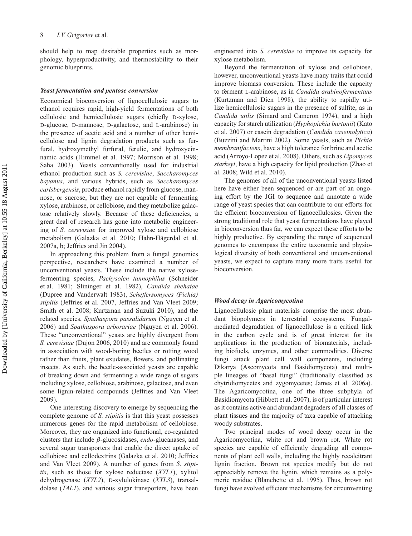should help to map desirable properties such as morphology, hyperproductivity, and thermostability to their genomic blueprints.

#### *Yeast fermentation and pentose conversion*

Economical bioconversion of lignocellulosic sugars to ethanol requires rapid, high-yield fermentations of both cellulosic and hemicellulosic sugars (chiefly D-xylose, D-glucose, D-mannose, D-galactose, and L-arabinose) in the presence of acetic acid and a number of other hemicellulose and lignin degradation products such as furfural, hydroxymethyl furfural, ferulic, and hydroxycinnamic acids (Himmel et al. 1997; Morrison et al. 1998; Saha 2003). Yeasts conventionally used for industrial ethanol production such as *S. cerevisiae*, *Saccharomyces bayanus*, and various hybrids, such as *Saccharomyces carlsbergensis*, produce ethanol rapidly from glucose, mannose, or sucrose, but they are not capable of fermenting xylose, arabinose, or cellobiose, and they metabolize galactose relatively slowly. Because of these deficiencies, a great deal of research has gone into metabolic engineering of *S. cerevisiae* for improved xylose and cellobiose metabolism (Galazka et al. 2010; Hahn-Hägerdal et al. 2007a, b; Jeffries and Jin 2004).

In approaching this problem from a fungal genomics perspective, researchers have examined a number of unconventional yeasts. These include the native xylosefermenting species, *Pachysolen tannophilus* (Schneider et al. 1981; Slininger et al. 1982), *Candida shehatae* (Dupree and Vanderwalt 1983), *Scheffersomyces (Pichia) stipitis* (Jeffries et al. 2007, Jeffries and Van Vleet 2009; Smith et al. 2008; Kurtzman and Suzuki 2010), and the related species, *Spathaspora passalidarum* (Nguyen et al. 2006) and *Spathaspora arborariae* (Nguyen et al. 2006). These "unconventional" yeasts are highly divergent from *S. cerevisiae* (Dujon 2006, 2010) and are commonly found in association with wood-boring beetles or rotting wood rather than fruits, plant exudates, flowers, and pollinating insects. As such, the beetle-associated yeasts are capable of breaking down and fermenting a wide range of sugars including xylose, cellobiose, arabinose, galactose, and even some lignin-related compounds (Jeffries and Van Vleet 2009).

One interesting discovery to emerge by sequencing the complete genome of *S. stipitis* is that this yeast possesses numerous genes for the rapid metabolism of cellobiose. Moreover, they are organized into functional, co-regulated clusters that include β-glucosidases, *endo*-glucanases, and several sugar transporters that enable the direct uptake of cellobiose and cellodextrins (Galazka et al. 2010; Jeffries and Van Vleet 2009). A number of genes from *S. stipitis*, such as those for xylose reductase (*XYL1*), xylitol dehydrogenase (*XYL2*), D-xylulokinase (*XYL3*), transaldolase (*TAL1*), and various sugar transporters, have been

engineered into *S. cerevisiae* to improve its capacity for xylose metabolism.

Beyond the fermentation of xylose and cellobiose, however, unconventional yeasts have many traits that could improve biomass conversion. These include the capacity to ferment L-arabinose, as in *Candida arabinofermentans* (Kurtzman and Dien 1998), the ability to rapidly utilize hemicellulosic sugars in the presence of sulfite, as in *Candida utilis* (Simard and Cameron 1974), and a high capacity for starch utilization (*Hyphopichia burtonii*) (Kato et al. 2007) or casein degradation (*Candida caseinolytica*) (Buzzini and Martini 2002). Some yeasts, such as *Pichia membranifaciens*, have a high tolerance for brine and acetic acid (Arroyo-Lopez et al. 2008). Others, such as *Lipomyces starkeyi*, have a high capacity for lipid production (Zhao et al. 2008; Wild et al. 2010).

The genomes of all of the unconventional yeasts listed here have either been sequenced or are part of an ongoing effort by the JGI to sequence and annotate a wide range of yeast species that can contribute to our efforts for the efficient bioconversion of lignocellulosics. Given the strong traditional role that yeast fermentations have played in bioconversion thus far, we can expect these efforts to be highly productive. By expanding the range of sequenced genomes to encompass the entire taxonomic and physiological diversity of both conventional and unconventional yeasts, we expect to capture many more traits useful for bioconversion.

#### *Wood decay in Agaricomycotina*

Lignocellulosic plant materials comprise the most abundant biopolymers in terrestrial ecosystems. Fungalmediated degradation of lignocellulose is a critical link in the carbon cycle and is of great interest for its applications in the production of biomaterials, including biofuels, enzymes, and other commodities. Diverse fungi attack plant cell wall components, including Dikarya (Ascomycota and Basidiomycota) and multiple lineages of "basal fungi" (traditionally classified as chytridiomycetes and zygomycetes; James et al. 2006a). The Agaricomycotina, one of the three subphyla of Basidiomycota (Hibbett et al. 2007), is of particular interest as it contains active and abundant degraders of all classes of plant tissues and the majority of taxa capable of attacking woody substrates.

Two principal modes of wood decay occur in the Agaricomycotina, white rot and brown rot. White rot species are capable of efficiently degrading all components of plant cell walls, including the highly recalcitrant lignin fraction. Brown rot species modify but do not appreciably remove the lignin, which remains as a polymeric residue (Blanchette et al. 1995). Thus, brown rot fungi have evolved efficient mechanisms for circumventing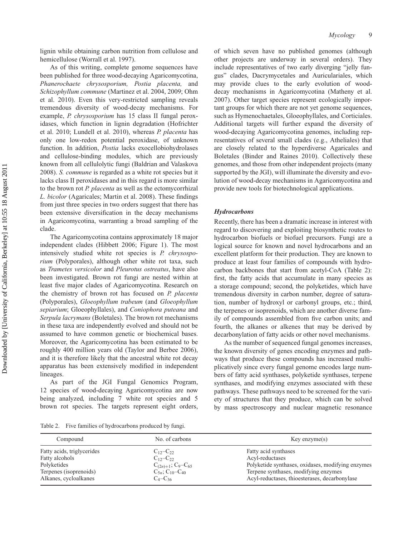lignin while obtaining carbon nutrition from cellulose and hemicellulose (Worrall et al. 1997).

As of this writing, complete genome sequences have been published for three wood-decaying Agaricomycotina, *Phanerochaete chrysosporium, Postia placenta,* and *Schizophyllum commune* (Martinez et al. 2004, 2009; Ohm et al. 2010). Even this very-restricted sampling reveals tremendous diversity of wood-decay mechanisms. For example, *P. chrysosporium* has 15 class II fungal peroxidases, which function in lignin degradation (Hofrichter et al. 2010; Lundell et al. 2010), whereas *P. placenta* has only one low-redox potential peroxidase, of unknown function. In addition, *Postia* lacks exocellobiohydrolases and cellulose-binding modules, which are previously known from all cellulolytic fungi (Baldrian and Valaskova 2008). *S. commune* is regarded as a white rot species but it lacks class II peroxidases and in this regard is more similar to the brown rot *P. placenta* as well as the ectomycorrhizal *L. bicolor* (Agaricales; Martin et al. 2008). These findings from just three species in two orders suggest that there has been extensive diversification in the decay mechanisms in Agaricomycotina, warranting a broad sampling of the clade.

The Agaricomycotina contains approximately 18 major independent clades (Hibbett 2006; Figure 1). The most intensively studied white rot species is *P. chrysosporium* (Polyporales), although other white rot taxa, such as *Trametes versicolor* and *Pleurotus ostreatus*, have also been investigated. Brown rot fungi are nested within at least five major clades of Agaricomycotina. Research on the chemistry of brown rot has focused on *P. placenta* (Polyporales), *Gloeophyllum trabeum* (and *Gloeophyllum sepiarium*; Gloeophyllales), and *Coniophora puteana* and *Serpula lacrymans* (Boletales). The brown rot mechanisms in these taxa are independently evolved and should not be assumed to have common genetic or biochemical bases. Moreover, the Agaricomycotina has been estimated to be roughly 400 million years old (Taylor and Berbee 2006), and it is therefore likely that the ancestral white rot decay apparatus has been extensively modified in independent lineages.

As part of the JGI Fungal Genomics Program, 12 species of wood-decaying Agaricomycotina are now being analyzed, including 7 white rot species and 5 brown rot species. The targets represent eight orders,

of which seven have no published genomes (although other projects are underway in several orders). They include representatives of two early diverging "jelly fungus" clades, Dacrymycetales and Auriculariales, which may provide clues to the early evolution of wooddecay mechanisms in Agaricomycotina (Matheny et al. 2007). Other target species represent ecologically important groups for which there are not yet genome sequences, such as Hymenochaetales, Gloeophyllales, and Corticiales. Additional targets will further expand the diversity of wood-decaying Agaricomycotina genomes, including representatives of several small clades (e.g., Atheliales) that are closely related to the hyperdiverse Agaricales and Boletales (Binder and Raines 2010). Collectively these genomes, and those from other independent projects (many supported by the JGI), will illuminate the diversity and evolution of wood-decay mechanisms in Agaricomycotina and provide new tools for biotechnological applications.

#### *Hydrocarbons*

Recently, there has been a dramatic increase in interest with regard to discovering and exploiting biosynthetic routes to hydrocarbon biofuels or biofuel precursors. Fungi are a logical source for known and novel hydrocarbons and an excellent platform for their production. They are known to produce at least four families of compounds with hydrocarbon backbones that start from acetyl-CoA (Table 2): first, the fatty acids that accumulate in many species as a storage compound; second, the polyketides, which have tremendous diversity in carbon number, degree of saturation, number of hydroxyl or carbonyl groups, etc.; third, the terpenes or isoprenoids, which are another diverse family of compounds assembled from five carbon units; and fourth, the alkanes or alkenes that may be derived by decarbonylation of fatty acids or other novel mechanisms.

As the number of sequenced fungal genomes increases, the known diversity of genes encoding enzymes and pathways that produce these compounds has increased multiplicatively since every fungal genome encodes large numbers of fatty acid synthases, polyketide synthases, terpene synthases, and modifying enzymes associated with these pathways. These pathways need to be screened for the variety of structures that they produce, which can be solved by mass spectroscopy and nuclear magnetic resonance

Table 2. Five families of hydrocarbons produced by fungi.

| Compound                   | No. of carbons                                 | $Key$ enzyme $(s)$                                |
|----------------------------|------------------------------------------------|---------------------------------------------------|
| Fatty acids, triglycerides | $C_{12} - C_{22}$                              | Fatty acid synthases                              |
| Fatty alcohols             | $C_{12}$ – $C_{22}$                            | Acyl-reductases                                   |
| Polyketides                | $C_{(2n)+1}$ ; C <sub>9</sub> -C <sub>65</sub> | Polyketide synthases, oxidases, modifying enzymes |
| Terpenes (isoprenoids)     | $C_{5n}$ ; C <sub>10</sub> -C <sub>40</sub>    | Terpene synthases, modifying enzymes              |
| Alkanes, cycloalkanes      | $C_4 - C_{36}$                                 | Acyl-reductases, thioesterases, decarbonylase     |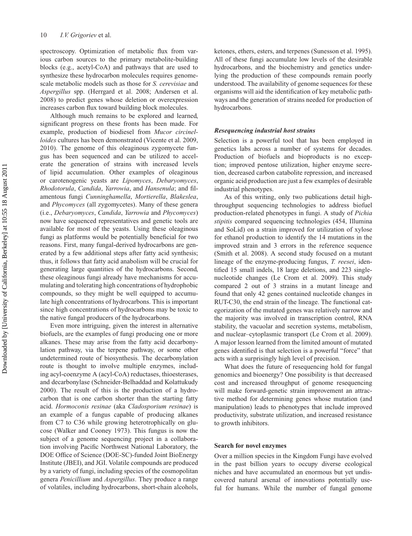spectroscopy. Optimization of metabolic flux from various carbon sources to the primary metabolite-building blocks (e.g., acetyl-CoA) and pathways that are used to synthesize these hydrocarbon molecules requires genomescale metabolic models such as those for *S. cerevisiae* and *Aspergillus* spp. (Herrgard et al. 2008; Andersen et al. 2008) to predict genes whose deletion or overexpression increases carbon flux toward building block molecules.

Although much remains to be explored and learned, significant progress on these fronts has been made. For example, production of biodiesel from *Mucor circinelloides* cultures has been demonstrated (Vicente et al. 2009, 2010). The genome of this oleaginous zygomycete fungus has been sequenced and can be utilized to accelerate the generation of strains with increased levels of lipid accumulation. Other examples of oleaginous or carotenogenic yeasts are *Lipomyces*, *Debaryomyces*, *Rhodotorula*, *Candida*, *Yarrowia*, and *Hansenula*; and filamentous fungi *Cunninghamella*, *Mortierella*, *Blakeslea*, and *Phycomyces* (all zygomycetes). Many of these genera (i.e., *Debaryomyces*, *Candida*, *Yarrowia* and *Phycomyces*) now have sequenced representatives and genetic tools are available for most of the yeasts. Using these oleaginous fungi as platforms would be potentially beneficial for two reasons. First, many fungal-derived hydrocarbons are generated by a few additional steps after fatty acid synthesis; thus, it follows that fatty acid anabolism will be crucial for generating large quantities of the hydrocarbons. Second, these oleaginous fungi already have mechanisms for accumulating and tolerating high concentrations of hydrophobic compounds, so they might be well equipped to accumulate high concentrations of hydrocarbons. This is important since high concentrations of hydrocarbons may be toxic to the native fungal producers of the hydrocarbons.

Even more intriguing, given the interest in alternative biofuels, are the examples of fungi producing one or more alkanes. These may arise from the fatty acid decarbonylation pathway, via the terpene pathway, or some other undetermined route of biosynthesis. The decarbonylation route is thought to involve multiple enzymes, including acyl-coenzyme A (acyl-CoA) reductases, thioesterases, and decarbonylase (Schneider-Belhaddad and Kolattukudy 2000). The result of this is the production of a hydrocarbon that is one carbon shorter than the starting fatty acid. *Hormoconis resinae* (aka *Cladosporium resinae*) is an example of a fungus capable of producing alkanes from C7 to C36 while growing heterotrophically on glucose (Walker and Cooney 1973). This fungus is now the subject of a genome sequencing project in a collaboration involving Pacific Northwest National Laboratory, the DOE Office of Science (DOE-SC)-funded Joint BioEnergy Institute (JBEI), and JGI. Volatile compounds are produced by a variety of fungi, including species of the cosmopolitan genera *Penicillium* and *Aspergillus*. They produce a range of volatiles, including hydrocarbons, short-chain alcohols,

ketones, ethers, esters, and terpenes (Sunesson et al. 1995). All of these fungi accumulate low levels of the desirable hydrocarbons, and the biochemistry and genetics underlying the production of these compounds remain poorly understood. The availability of genome sequences for these organisms will aid the identification of key metabolic pathways and the generation of strains needed for production of hydrocarbons.

#### *Resequencing industrial host strains*

Selection is a powerful tool that has been employed in genetics labs across a number of systems for decades. Production of biofuels and bioproducts is no exception; improved pentose utilization, higher enzyme secretion, decreased carbon catabolite repression, and increased organic acid production are just a few examples of desirable industrial phenotypes.

As of this writing, only two publications detail highthroughput sequencing technologies to address biofuel production-related phenotypes in fungi. A study of *Pichia stipitis* compared sequencing technologies (454, Illumina and SoLid) on a strain improved for utilization of xylose for ethanol production to identify the 14 mutations in the improved strain and 3 errors in the reference sequence (Smith et al. 2008). A second study focused on a mutant lineage of the enzyme-producing fungus, *T. reesei*, identified 15 small indels, 18 large deletions, and 223 singlenucleotide changes (Le Crom et al. 2009). This study compared 2 out of 3 strains in a mutant lineage and found that only 42 genes contained nucleotide changes in RUT-C30, the end strain of the lineage. The functional categorization of the mutated genes was relatively narrow and the majority was involved in transcription control, RNA stability, the vacuolar and secretion systems, metabolism, and nuclear–cytoplasmic transport (Le Crom et al. 2009). A major lesson learned from the limited amount of mutated genes identified is that selection is a powerful "force" that acts with a surprisingly high level of precision.

What does the future of resequencing hold for fungal genomics and bioenergy? One possibility is that decreased cost and increased throughput of genome resequencing will make forward-genetic strain improvement an attractive method for determining genes whose mutation (and manipulation) leads to phenotypes that include improved productivity, substrate utilization, and increased resistance to growth inhibitors.

#### **Search for novel enzymes**

Over a million species in the Kingdom Fungi have evolved in the past billion years to occupy diverse ecological niches and have accumulated an enormous but yet undiscovered natural arsenal of innovations potentially useful for humans. While the number of fungal genome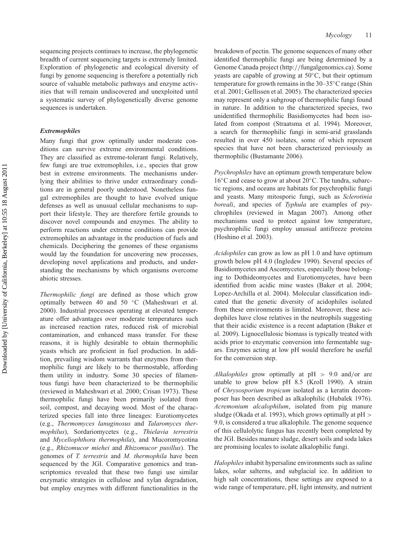sequencing projects continues to increase, the phylogenetic breadth of current sequencing targets is extremely limited. Exploration of phylogenetic and ecological diversity of fungi by genome sequencing is therefore a potentially rich source of valuable metabolic pathways and enzyme activities that will remain undiscovered and unexploited until a systematic survey of phylogenetically diverse genome sequences is undertaken.

#### *Extremophiles*

Many fungi that grow optimally under moderate conditions can survive extreme environmental conditions. They are classified as extreme-tolerant fungi. Relatively, few fungi are true extremophiles, i.e., species that grow best in extreme environments. The mechanisms underlying their abilities to thrive under extraordinary conditions are in general poorly understood. Nonetheless fungal extremophiles are thought to have evolved unique defenses as well as unusual cellular mechanisms to support their lifestyle. They are therefore fertile grounds to discover novel compounds and enzymes. The ability to perform reactions under extreme conditions can provide extremophiles an advantage in the production of fuels and chemicals. Deciphering the genomes of these organisms would lay the foundation for uncovering new processes, developing novel applications and products, and understanding the mechanisms by which organisms overcome abiotic stresses.

*Thermophilic fungi* are defined as those which grow optimally between 40 and 50 ◦C (Maheshwari et al. 2000). Industrial processes operating at elevated temperature offer advantages over moderate temperatures such as increased reaction rates, reduced risk of microbial contamination, and enhanced mass transfer. For these reasons, it is highly desirable to obtain thermophilic yeasts which are proficient in fuel production. In addition, prevailing wisdom warrants that enzymes from thermophilic fungi are likely to be thermostable, affording them utility in industry. Some 30 species of filamentous fungi have been characterized to be thermophilic (reviewed in Maheshwari et al. 2000; Crisan 1973). These thermophilic fungi have been primarily isolated from soil, compost, and decaying wood. Most of the characterized species fall into three lineages: Eurotiomycetes (e.g., *Thermomyces lanuginosus* and *Talaromyces thermophilus*), Sordariomycetes (e.g., *Thielavia terrestris* and *Myceliophthora thermophila*), and Mucoromycotina (e.g., *Rhizomucor miehei* and *Rhizomucor pusillus*). The genomes of *T. terrestris* and *M. thermophila* have been sequenced by the JGI. Comparative genomics and transcriptomics revealed that these two fungi use similar enzymatic strategies in cellulose and xylan degradation, but employ enzymes with different functionalities in the

breakdown of pectin. The genome sequences of many other identified thermophilic fungi are being determined by a Genome Canada project (http://fungalgenomics.ca). Some yeasts are capable of growing at 50◦C, but their optimum temperature for growth remains in the 30–35◦C range (Shin et al. 2001; Gellissen et al. 2005). The characterized species may represent only a subgroup of thermophilic fungi found in nature. In addition to the characterized species, two unidentified thermophilic Basidiomycetes had been isolated from compost (Straatsma et al. 1994). Moreover, a search for thermophilic fungi in semi-arid grasslands resulted in over 450 isolates, some of which represent species that have not been characterized previously as thermophilic (Bustamante 2006).

*Psychrophiles* have an optimum growth temperature below 16◦C and cease to grow at about 20◦C. The tundra, subarctic regions, and oceans are habitats for psychrophilic fungi and yeasts. Many mitosporic fungi, such as *Sclerotinia boreali*, and species of *Typhula* are examples of psychrophiles (reviewed in Magan 2007). Among other mechanisms used to protect against low temperature, psychrophilic fungi employ unusual antifreeze proteins (Hoshino et al. 2003).

*Acidophiles* can grow as low as pH 1.0 and have optimum growth below pH 4.0 (Ingledew 1990). Several species of Basidiomycetes and Ascomycetes, especially those belonging to Dothideomycetes and Eurotiomycetes, have been identified from acidic mine wastes (Baker et al. 2004; Lopez-Archilla et al. 2004). Molecular classification indicated that the genetic diversity of acidophiles isolated from these environments is limited. Moreover, these acidophiles have close relatives in the neutrophils suggesting that their acidic existence is a recent adaptation (Baker et al. 2009). Lignocellulosic biomass is typically treated with acids prior to enzymatic conversion into fermentable sugars. Enzymes acting at low pH would therefore be useful for the conversion step.

*Alkalophiles* grow optimally at pH > 9.0 and/or are unable to grow below pH 8.5 (Kroll 1990). A strain of *Chrysosporium tropicum* isolated as a keratin decomposer has been described as alkalophilic (Hubalek 1976). *Acremonium alcalophilum*, isolated from pig manure sludge (Okada et al. 1993), which grows optimally at pH > 9.0, is considered a true alkalophile. The genome sequence of this cellulolytic fungus has recently been completed by the JGI. Besides manure sludge, desert soils and soda lakes are promising locales to isolate alkalophilic fungi.

*Halophiles* inhabit hypersaline environments such as saline lakes, solar salterns, and subglacial ice. In addition to high salt concentrations, these settings are exposed to a wide range of temperature, pH, light intensity, and nutrient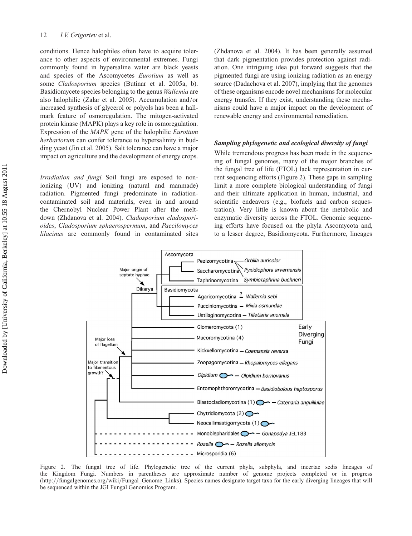conditions. Hence halophiles often have to acquire tolerance to other aspects of environmental extremes. Fungi commonly found in hypersaline water are black yeasts and species of the Ascomycetes *Eurotium* as well as some *Cladosporium* species (Butinar et al. 2005a, b). Basidiomycete species belonging to the genus *Wallemia* are also halophilic (Zalar et al. 2005). Accumulation and/or increased synthesis of glycerol or polyols has been a hallmark feature of osmoregulation. The mitogen-activated protein kinase (MAPK) plays a key role in osmoregulation. Expression of the *MAPK* gene of the halophilic *Eurotium herbariorum* can confer tolerance to hypersalinity in budding yeast (Jin et al. 2005). Salt tolerance can have a major impact on agriculture and the development of energy crops.

*Irradiation and fungi.* Soil fungi are exposed to nonionizing (UV) and ionizing (natural and manmade) radiation. Pigmented fungi predominate in radiationcontaminated soil and materials, even in and around the Chernobyl Nuclear Power Plant after the meltdown (Zhdanova et al. 2004). *Cladosporium cladosporioides*, *Cladosporium sphaerospermum*, and *Paecilomyces lilacinus* are commonly found in contaminated sites

(Zhdanova et al. 2004). It has been generally assumed that dark pigmentation provides protection against radiation. One intriguing idea put forward suggests that the pigmented fungi are using ionizing radiation as an energy source (Dadachova et al. 2007), implying that the genomes of these organisms encode novel mechanisms for molecular energy transfer. If they exist, understanding these mechanisms could have a major impact on the development of renewable energy and environmental remediation.

#### *Sampling phylogenetic and ecological diversity of fungi*

While tremendous progress has been made in the sequencing of fungal genomes, many of the major branches of the fungal tree of life (FTOL) lack representation in current sequencing efforts (Figure 2). These gaps in sampling limit a more complete biological understanding of fungi and their ultimate application in human, industrial, and scientific endeavors (e.g., biofuels and carbon sequestration). Very little is known about the metabolic and enzymatic diversity across the FTOL. Genomic sequencing efforts have focused on the phyla Ascomycota and, to a lesser degree, Basidiomycota. Furthermore, lineages



Figure 2. The fungal tree of life. Phylogenetic tree of the current phyla, subphyla, and incertae sedis lineages of the Kingdom Fungi. Numbers in parentheses are approximate number of genome projects completed or in progress (http://fungalgenomes.org/wiki/Fungal\_Genome\_Links). Species names designate target taxa for the early diverging lineages that will be sequenced within the JGI Fungal Genomics Program.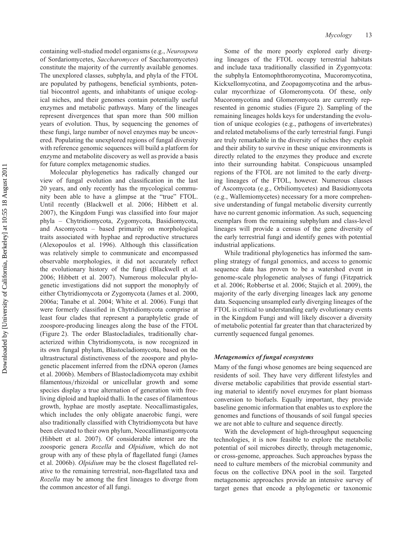containing well-studied model organisms (e.g., *Neurospora* of Sordariomycetes, *Saccharomyces* of Saccharomycetes) constitute the majority of the currently available genomes. The unexplored classes, subphyla, and phyla of the FTOL are populated by pathogens, beneficial symbionts, potential biocontrol agents, and inhabitants of unique ecological niches, and their genomes contain potentially useful enzymes and metabolic pathways. Many of the lineages represent divergences that span more than 500 million years of evolution. Thus, by sequencing the genomes of these fungi, large number of novel enzymes may be uncovered. Populating the unexplored regions of fungal diversity with reference genomic sequences will build a platform for enzyme and metabolite discovery as well as provide a basis for future complex metagenomic studies.

Molecular phylogenetics has radically changed our view of fungal evolution and classification in the last 20 years, and only recently has the mycological community been able to have a glimpse at the "true" FTOL. Until recently (Blackwell et al. 2006; Hibbett et al. 2007), the Kingdom Fungi was classified into four major phyla – Chytridiomycota, Zygomycota, Basidiomycota, and Ascomycota – based primarily on morphological traits associated with hyphae and reproductive structures (Alexopoulos et al. 1996). Although this classification was relatively simple to communicate and encompassed observable morphologies, it did not accurately reflect the evolutionary history of the fungi (Blackwell et al. 2006; Hibbett et al. 2007). Numerous molecular phylogenetic investigations did not support the monophyly of either Chytridiomycota or Zygomycota (James et al. 2000, 2006a; Tanabe et al. 2004; White et al. 2006). Fungi that were formerly classified in Chytridiomycota comprise at least four clades that represent a paraphyletic grade of zoospore-producing lineages along the base of the FTOL (Figure 2). The order Blastocladiales, traditionally characterized within Chytridiomycota, is now recognized in its own fungal phylum, Blastocladiomycota, based on the ultrastructural distinctiveness of the zoospore and phylogenetic placement inferred from the rDNA operon (James et al. 2006b). Members of Blastocladiomycota may exhibit filamentous/rhizoidal or unicellular growth and some species display a true alternation of generation with freeliving diploid and haploid thalli. In the cases of filamentous growth, hyphae are mostly aseptate. Neocallimastigales, which includes the only obligate anaerobic fungi, were also traditionally classified with Chytridiomycota but have been elevated to their own phylum, Neocallimastigomycota (Hibbett et al. 2007). Of considerable interest are the zoosporic genera *Rozella* and *Olpidium*, which do not group with any of these phyla of flagellated fungi (James et al. 2006b). *Olpidium* may be the closest flagellated relative to the remaining terrestrial, non-flagellated taxa and *Rozella* may be among the first lineages to diverge from the common ancestor of all fungi.

Some of the more poorly explored early diverging lineages of the FTOL occupy terrestrial habitats and include taxa traditionally classified in Zygomycota: the subphyla Entomophthoromycotina, Mucoromycotina, Kickxellomycotina, and Zoopagomycotina and the arbuscular mycorrhizae of Glomeromycota. Of these, only Mucoromycotina and Glomeromycota are currently represented in genomic studies (Figure 2). Sampling of the remaining lineages holds keys for understanding the evolution of unique ecologies (e.g., pathogens of invertebrates) and related metabolisms of the early terrestrial fungi. Fungi are truly remarkable in the diversity of niches they exploit and their ability to survive in these unique environments is directly related to the enzymes they produce and excrete into their surrounding habitat. Conspicuous unsampled regions of the FTOL are not limited to the early diverging lineages of the FTOL, however. Numerous classes of Ascomycota (e.g., Orbiliomycetes) and Basidiomycota (e.g., Wallemiomycetes) necessary for a more comprehensive understanding of fungal metabolic diversity currently have no current genomic information. As such, sequencing exemplars from the remaining subphylum and class-level lineages will provide a census of the gene diversity of the early terrestrial fungi and identify genes with potential industrial applications.

While traditional phylogenetics has informed the sampling strategy of fungal genomics, and access to genomic sequence data has proven to be a watershed event in genome-scale phylogenetic analyses of fungi (Fitzpatrick et al. 2006; Robbertse et al. 2006; Stajich et al. 2009), the majority of the early diverging lineages lack any genome data. Sequencing unsampled early diverging lineages of the FTOL is critical to understanding early evolutionary events in the Kingdom Fungi and will likely discover a diversity of metabolic potential far greater than that characterized by currently sequenced fungal genomes.

### *Metagenomics of fungal ecosystems*

Many of the fungi whose genomes are being sequenced are residents of soil. They have very different lifestyles and diverse metabolic capabilities that provide essential starting material to identify novel enzymes for plant biomass conversion to biofuels. Equally important, they provide baseline genomic information that enables us to explore the genomes and functions of thousands of soil fungal species we are not able to culture and sequence directly.

With the development of high-throughput sequencing technologies, it is now feasible to explore the metabolic potential of soil microbes directly, through metagenomic, or cross-genome, approaches. Such approaches bypass the need to culture members of the microbial community and focus on the collective DNA pool in the soil. Targeted metagenomic approaches provide an intensive survey of target genes that encode a phylogenetic or taxonomic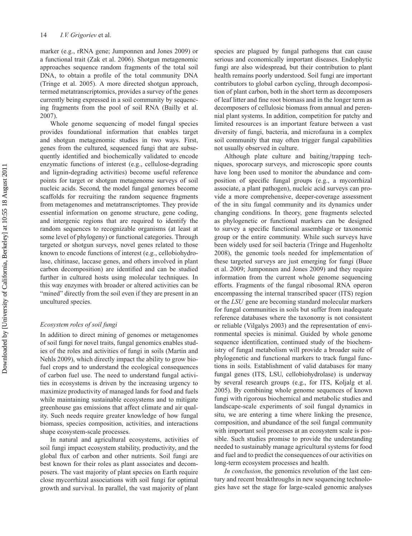marker (e.g., rRNA gene; Jumponnen and Jones 2009) or a functional trait (Zak et al. 2006). Shotgun metagenomic approaches sequence random fragments of the total soil DNA, to obtain a profile of the total community DNA (Tringe et al. 2005). A more directed shotgun approach, termed metatranscriptomics, provides a survey of the genes currently being expressed in a soil community by sequencing fragments from the pool of soil RNA (Bailly et al. 2007).

Whole genome sequencing of model fungal species provides foundational information that enables target and shotgun metagenomic studies in two ways. First, genes from the cultured, sequenced fungi that are subsequently identified and biochemically validated to encode enzymatic functions of interest (e.g., cellulose-degrading and lignin-degrading activities) become useful reference points for target or shotgun metagenome surveys of soil nucleic acids. Second, the model fungal genomes become scaffolds for recruiting the random sequence fragments from metagenomes and metatranscriptomes. They provide essential information on genome structure, gene coding, and intergenic regions that are required to identify the random sequences to recognizable organisms (at least at some level of phylogeny) or functional categories. Through targeted or shotgun surveys, novel genes related to those known to encode functions of interest (e.g., cellobiohydrolase, chitinase, laccase genes, and others involved in plant carbon decomposition) are identified and can be studied further in cultured hosts using molecular techniques. In this way enzymes with broader or altered activities can be "mined" directly from the soil even if they are present in an uncultured species.

#### *Ecosystem roles of soil fungi*

In addition to direct mining of genomes or metagenomes of soil fungi for novel traits, fungal genomics enables studies of the roles and activities of fungi in soils (Martin and Nehls 2009), which directly impact the ability to grow biofuel crops and to understand the ecological consequences of carbon fuel use. The need to understand fungal activities in ecosystems is driven by the increasing urgency to maximize productivity of managed lands for food and fuels while maintaining sustainable ecosystems and to mitigate greenhouse gas emissions that affect climate and air quality. Such needs require greater knowledge of how fungal biomass, species composition, activities, and interactions shape ecosystem-scale processes.

In natural and agricultural ecosystems, activities of soil fungi impact ecosystem stability, productivity, and the global flux of carbon and other nutrients. Soil fungi are best known for their roles as plant associates and decomposers. The vast majority of plant species on Earth require close mycorrhizal associations with soil fungi for optimal growth and survival. In parallel, the vast majority of plant

species are plagued by fungal pathogens that can cause serious and economically important diseases. Endophytic fungi are also widespread, but their contribution to plant health remains poorly understood. Soil fungi are important contributors to global carbon cycling, through decomposition of plant carbon, both in the short term as decomposers of leaf litter and fine root biomass and in the longer term as decomposers of cellulosic biomass from annual and perennial plant systems. In addition, competition for patchy and limited resources is an important feature between a vast diversity of fungi, bacteria, and microfauna in a complex soil community that may often trigger fungal capabilities not usually observed in culture.

Although plate culture and baiting/trapping techniques, sporocarp surveys, and microscopic spore counts have long been used to monitor the abundance and composition of specific fungal groups (e.g., a mycorrhizal associate, a plant pathogen), nucleic acid surveys can provide a more comprehensive, deeper-coverage assessment of the in situ fungal community and its dynamics under changing conditions. In theory, gene fragments selected as phylogenetic or functional markers can be designed to survey a specific functional assemblage or taxonomic group or the entire community. While such surveys have been widely used for soil bacteria (Tringe and Hugenholtz 2008), the genomic tools needed for implementation of these targeted surveys are just emerging for fungi (Buee et al. 2009; Jumponnen and Jones 2009) and they require information from the current whole genome sequencing efforts. Fragments of the fungal ribosomal RNA operon encompassing the internal transcribed spacer (ITS) region or the *LSU* gene are becoming standard molecular markers for fungal communities in soils but suffer from inadequate reference databases where the taxonomy is not consistent or reliable (Vilgalys 2003) and the representation of environmental species is minimal. Guided by whole genome sequence identification, continued study of the biochemistry of fungal metabolism will provide a broader suite of phylogenetic and functional markers to track fungal functions in soils. Establishment of valid databases for many fungal genes (ITS, LSU, cellobiohydrolase) is underway by several research groups (e.g., for ITS, Koljalg et al. 2005). By combining whole genome sequences of known fungi with rigorous biochemical and metabolic studies and landscape-scale experiments of soil fungal dynamics in situ, we are entering a time where linking the presence, composition, and abundance of the soil fungal community with important soil processes at an ecosystem scale is possible. Such studies promise to provide the understanding needed to sustainably manage agricultural systems for food and fuel and to predict the consequences of our activities on long-term ecosystem processes and health.

*In conclusion*, the genomics revolution of the last century and recent breakthroughs in new sequencing technologies have set the stage for large-scaled genomic analyses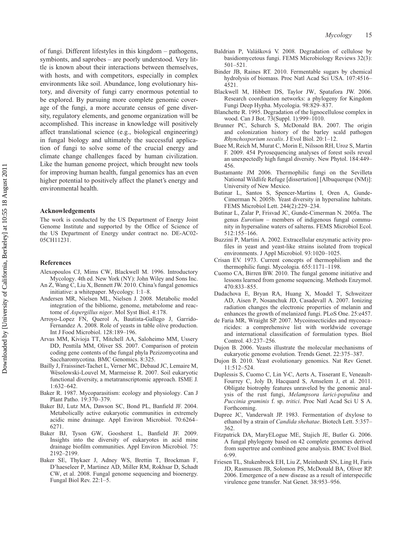of fungi. Different lifestyles in this kingdom – pathogens, symbionts, and saprobes – are poorly understood. Very little is known about their interactions between themselves, with hosts, and with competitors, especially in complex environments like soil. Abundance, long evolutionary history, and diversity of fungi carry enormous potential to be explored. By pursuing more complete genomic coverage of the fungi, a more accurate census of gene diversity, regulatory elements, and genome organization will be accomplished. This increase in knowledge will positively affect translational science (e.g., biological engineering) in fungal biology and ultimately the successful application of fungi to solve some of the crucial energy and climate change challenges faced by human civilization. Like the human genome project, which brought new tools for improving human health, fungal genomics has an even higher potential to positively affect the planet's energy and environmental health.

#### **Acknowledgements**

The work is conducted by the US Department of Energy Joint Genome Institute and supported by the Office of Science of the US Department of Energy under contract no. DE-AC02- 05CH11231.

#### **References**

- Alexopoulos CJ, Mims CW, Blackwell M. 1996. Introductory Mycology. 4th ed. New York (NY): John Wiley and Sons Inc.
- An Z, Wang C, Liu X, Bennett JW. 2010. China's fungal genomics initiative: a whitepaper. Mycology. 1:1–8.
- Andersen MR, Nielsen ML, Nielsen J. 2008. Metabolic model integration of the bibliome, genome, metabolome and reactome of *Aspergillus niger*. Mol Syst Biol. 4:178.
- Arroyo-Lopez FN, Querol A, Bautista-Gallego J, Garrido-Fernandez A. 2008. Role of yeasts in table olive production. Int J Food Microbiol. 128:189–196.
- Arvas MM, Kivioja TT, Mitchell AA, Saloheimo MM, Ussery DD, Penttila MM, Oliver SS. 2007. Comparison of protein coding gene contents of the fungal phyla Pezizomycotina and Saccharomycotina. BMC Genomics. 8:325.
- Bailly J, Fraissinet-Tachet L, Verner MC, Debaud JC, Lemaire M, Wésolowski-Louvel M, Marmeisse R. 2007. Soil eukaryotic functional diversity, a metatranscriptomic approach. ISME J. 1:632–642.
- Baker R. 1987. Mycoparasitism: ecology and physiology. Can J Plant Patho. 19:370–379.
- Baker BJ, Lutz MA, Dawson SC, Bond PL, Banfield JF. 2004. Metabolically active eukaryotic communities in extremely acidic mine drainage. Appl Environ Microbiol. 70:6264– 6271.
- Baker BJ, Tyson GW, Goosherst L, Banfield JF. 2009. Insights into the diversity of eukaryotes in acid mine drainage biofilm communities. Appl Environ Microbiol. 75: 2192–2199.
- Baker SE, Thykaer J, Adney WS, Brettin T, Brockman F, D'haeseleer P, Martinez AD, Miller RM, Rokhsar D, Schadt CW, et al. 2008. Fungal genome sequencing and bioenergy. Fungal Biol Rev. 22:1–5.
- Baldrian P, Valášková V. 2008. Degradation of cellulose by basidiomycetous fungi. FEMS Microbiology Reviews 32(3): 501–521.
- Binder JB, Raines RT. 2010. Fermentable sugars by chemical hydrolysis of biomass. Proc Natl Acad Sci USA. 107:4516– 4521.
- Blackwell M, Hibbett DS, Taylor JW, Spatafora JW. 2006. Research coordination networks: a phylogeny for Kingdom Fungi Deep Hypha. Mycologia. 98:829–837.
- Blanchette R. 1995. Degradation of the lignocellulose complex in wood. Can J Bot. 73(Suppl. 1):999–1010.
- Brunner PC, Schurch S, McDonald BA. 2007. The origin and colonization history of the barley scald pathogen *Rhynchosporium secalis*. J Evol Biol. 20:1–12.
- Buee M, Reich M, Murat C, Morin E, Nilsson RH, Uroz S, Martin F. 2009. 454 Pyrosequencing analyses of forest soils reveal an unexpectedly high fungal diversity. New Phytol. 184:449– 456.
- Bustamante JM 2006. Thermophilic fungi on the Sevilleta National Wildlife Refuge [dissertation] [Albuquerque (NM)]: University of New Mexico.
- Butinar L, Santos S, Spencer-Martins I, Oren A, Gunde-Cimerman N. 2005b. Yeast diversity in hypersaline habitats. FEMS Microbiol Lett. 244(2):229–234.
- Butinar L, Zalar P, Frisvad JC, Gunde-Cimerman N. 2005a. The genus *Eurotium* – members of indigenous fungal community in hypersaline waters of salterns. FEMS Microbiol Ecol. 512:155–166.
- Buzzini P, Martini A. 2002. Extracellular enzymatic activity profiles in yeast and yeast-like strains isolated from tropical environments. J Appl Microbiol. 93:1020–1025.
- Crisan EV. 1973. Current concepts of thermophilism and the thermophilic fungi. Mycologia. 655:1171–1198.
- Cuomo CA, Birren BW. 2010. The fungal genome initiative and lessons learned from genome sequencing. Methods Enzymol. 470:833–855.
- Dadachova E, Bryan RA, Huang X, Moadel T, Schweitzer AD, Aisen P, Nosanchuk JD, Casadevall A. 2007. Ionizing radiation changes the electronic properties of melanin and enhances the growth of melanized fungi. PLoS One. 25:e457.
- de Faria MR, Wraight SP. 2007. Mycoinsecticides and mycoacaricides: a comprehensive list with worldwide coverage and international classification of formulation types. Biol Control. 43:237–256.
- Dujon B. 2006. Yeasts illustrate the molecular mechanisms of eukaryotic genome evolution. Trends Genet. 22:375–387.
- Dujon B. 2010. Yeast evolutionary genomics. Nat Rev Genet. 11:512–524.
- Duplessis S, Cuomo C, Lin Y-C, Aerts A, Tisserant E, Veneault-Fourrey C, Joly D, Hacquard S, Amselem J, et al. 2011. Obligate biotrophy features unraveled by the genomic analysis of the rust fungi, *Melampsora larici-populina* and *Puccinia graminis* f. sp. *tritici*. Proc Natl Acad Sci U S A. Forthcoming.
- Dupree JC, Vanderwalt JP. 1983. Fermentation of dxylose to ethanol by a strain of *Candida shehatae*. Biotech Lett. 5:357– 362.
- Fitzpatrick DA, MaryELogue ME, Stajich JE, Butler G. 2006. A fungal phylogeny based on 42 complete genomes derived from supertree and combined gene analysis. BMC Evol Biol. 6:99.
- Friesen TL, Stukenbrock EH, Liu Z, Meinhardt SN, Ling H, Faris JD, Rasmussen JB, Solomon PS, McDonald BA, Oliver RP. 2006. Emergence of a new disease as a result of interspecific virulence gene transfer. Nat Genet. 38:953–956.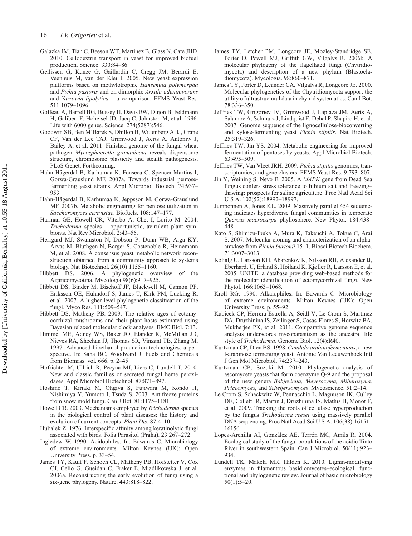- Galazka JM, Tian C, Beeson WT, Martinez B, Glass N, Cate JHD. 2010. Cellodextrin transport in yeast for improved biofuel production. Science. 330:84–86.
- Gellissen G, Kunze G, Gaillardin C, Cregg JM, Berardi E, Veenhuis M, van der Klei I. 2005. New yeast expression platforms based on methylotrophic *Hansenula polymorpha* and *Pichia pastoris* and on dimorphic *Arxula adeninivorans* and *Yarrowia lipolytica* – a comparison. FEMS Yeast Res. 511:1079–1096.
- Goffeau A, Barrell BG, Bussey H, Davis RW, Dujon B, Feldmann H, Galibert F, Hoheisel JD, Jacq C, Johnston M, et al. 1996. Life with 6000 genes. Science. 274(5287):546.
- Goodwin SB, Ben M'Barek S, Dhillon B, Wittenberg AHJ, Crane CF, Van der Lee TAJ, Grimwood J, Aerts A, Antoniw J, Bailey A, et al. 2011. Finished genome of the fungal wheat pathogen *Mycosphaerella graminicola* reveals dispensome structure, chromosome plasticity and stealth pathogenesis. PLoS Genet. Forthcoming.
- Hahn-Hägerdal B, Karhumaa K, Fonseca C, Spencer-Martins I, Gorwa-Grauslund MF. 2007a. Towards industrial pentosefermenting yeast strains. Appl Microbiol Biotech. 74:937– 953.
- Hahn-Hägerdal B, Karhumaa K, Jeppsson M, Gorwa-Grauslund MF. 2007b. Metabolic engineering for pentose utilization in *Saccharomyces cerevisiae*. Biofuels. 108:147–177.
- Harman GE, Howell CR, Viterbo A, Chet I, Lorito M. 2004. *Trichoderma* species – opportunistic, avirulent plant symbionts. Nat Rev Microbiol. 2:43–56.
- Herrgard MJ, Swainston N, Dobson P, Dunn WB, Arga KY, Arvas M, Bluthgen N, Borger S, Costenoble R, Heinemann M, et al. 2008. A consensus yeast metabolic network reconstruction obtained from a community approach to systems biology. Nat Biotechnol. 26(10):1155–1160.
- Hibbett DS. 2006. A phylogenetic overview of the Agaricomycotina. Mycologia 98(6):917–925.
- Hibbett DS, Binder M, Bischoff JF, Blackwell M, Cannon PF, Eriksson OE, Huhndorf S, James T, Kirk PM, Lücking R, et al. 2007. A higher-level phylogenetic classification of the fungi. Myco Res. 111:509–547.
- Hibbett DS, Matheny PB. 2009. The relative ages of ectomycorrhizal mushrooms and their plant hosts estimated using Bayesian relaxed molecular clock analyses. BMC Biol. 7:13.
- Himmel ME, Adney WS, Baker JO, Elander R, McMillan JD, Nieves RA, Sheehan JJ, Thomas SR, Vinzant TB, Zhang M. 1997. Advanced bioethanol production technologies: a perspective. In: Saha BC, Woodward J. Fuels and Chemicals from Biomass. vol. 666. p. 2–45.
- Hofrichter M, Ullrich R, Pecyna MJ, Liers C, Lundell T. 2010. New and classic families of secreted fungal heme peroxidases. Appl Microbiol Biotechnol. 87:871–897.
- Hoshino T, Kiriaki M, Ohgiya S, Fujiwara M, Kondo H, Nishimiya Y, Yumoto I, Tsuda S. 2003. Antifreeze proteins from snow mold fungi. Can J Bot. 81:1175–1181.
- Howell CR. 2003. Mechanisms employed by *Trichoderma* species in the biological control of plant diseases: the history and evolution of current concepts. *Plant Dis*. 87:4–10.
- Hubalek Z. 1976. Interspecific affinity among keratinolytic fungi associated with birds. Folia Parasitol (Praha). 23:267–272.
- Ingledew W. 1990. Acidophiles. In: Edwards C. Microbiology of extreme environments. Milton Keynes (UK): Open University Press. p. 33–54.
- James TY, Kauff F, Schoch CL, Matheny PB, Hofstetter V, Cox CJ, Celio G, Gueidan C, Fraker E, Miadlikowska J, et al. 2006a. Reconstructing the early evolution of fungi using a six-gene phylogeny. Nature. 443:818–822.
- James TY, Letcher PM, Longcore JE, Mozley-Standridge SE, Porter D, Powell MJ, Griffith GW, Vilgalys R. 2006b. A molecular phylogeny of the flagellated fungi (Chytridiomycota) and description of a new phylum (Blastocladiomycota). Mycologia. 98:860–871.
- James TY, Porter D, Leander CA, Vilgalys R, Longcore JE. 2000. Molecular phylogenetics of the Chytridiomycota support the utility of ultrastructural data in chytrid systematics. Can J Bot. 78:336–350.
- Jeffries TW, Grigoriev IV, Grimwood J, Laplaza JM, Aerts A, Salamov A, Schmutz J, Lindquist E, Dehal P, Shapiro H, et al. 2007. Genome sequence of the lignocellulose-bioconverting and xylose-fermenting yeast *Pichia stipitis*. Nat Biotech. 25:319–326.
- Jeffries TW, Jin YS. 2004. Metabolic engineering for improved fermentation of pentoses by yeasts. Appl Microbiol Biotech. 63:495–509.
- Jeffries TW, Van Vleet JRH. 2009. *Pichia stipitis* genomics, transcriptomics, and gene clusters. FEMS Yeast Res. 9:793–807.
- Jin Y, Weining S, Nevo E. 2005. A *MAPK* gene from Dead Sea fungus confers stress tolerance to lithium salt and freezing– thawing: prospects for saline agriculture. Proc Natl Acad Sci U S A. 102(52):18992–18997.
- Jumponnen A, Jones KL. 2009. Massively parallel 454 sequencing indicates hyperdiverse fungal communities in temperate *Quercus macrocarpa* phyllosphere. New Phytol. 184:438– 448.
- Kato S, Shimizu-Ibuka A, Mura K, Takeuchi A, Tokue C, Arai S. 2007. Molecular cloning and characterization of an alphaamylase from *Pichia burtonii* 15–1. Biosci Biotech Biochem. 71:3007–3013.
- Koljalg U, Larsson KH, Abarenkov K, Nilsson RH, Alexander IJ, Eberhardt U, Erland S, Høiland K, Kjøller R, Larsson E, et al. 2005. UNITE: a database providing web-based methods for the molecular identification of ectomycorrhizal fungi. New Phytol. 166:1063–1068.
- Kroll RG. 1990. Alkalophiles. In: Edwards C. Microbiology of extreme environments. Milton Keynes (UK): Open University Press. p. 55–92.
- Kubicek CP, Herrera-Estrella A, Seidl V, Le Crom S, Martinez DA, Druzhinina IS, Zeilinger S, Casas-Flores S, Horwitz BA, Mukherjee PK, et al. 2011. Comparative genome sequence analysis underscores mycoparasitism as the ancestral life style of *Trichoderma*. Genome Biol. 12(4):R40.
- Kurtzman CP, Dien BS. 1998. *Candida arabinofermentans*, a new l-arabinose fermenting yeast. Antonie Van Leeuwenhoek Intl J Gen Mol Microbiol. 74:237–243.
- Kurtzman CP, Suzuki M. 2010. Phylogenetic analysis of ascomycete yeasts that form coenzyme Q-9 and the proposal of the new genera *Babjeviella, Meyerozyma, Millerozyma, Priceomyces,* and *Scheffersomyces*. Mycoscience. 51:2–14.
- Le Crom S, Schackwitz W, Pennacchio L, Magnuson JK, Culley DE, Collett JR, Martin J, Druzhinina IS, Mathis H, Monot F, et al. 2009. Tracking the roots of cellulase hyperproduction by the fungus *Trichoderma reesei* using massively parallel DNA sequencing. Proc Natl Acad Sci U S A. 106(38):16151– 16156.
- Lopez-Archilla AI, González AE, Terrón MC, Amils R. 2004. Ecological study of the fungal populations of the acidic Tinto River in southwestern Spain. Can J Microbiol. 50(11):923– 934.
- Lundell TK, Makela MR, Hilden K. 2010. Lignin-modifying enzymes in filamentous basidiomycetes–ecological, functional and phylogenetic review. Journal of basic microbiology 50(1):5–20.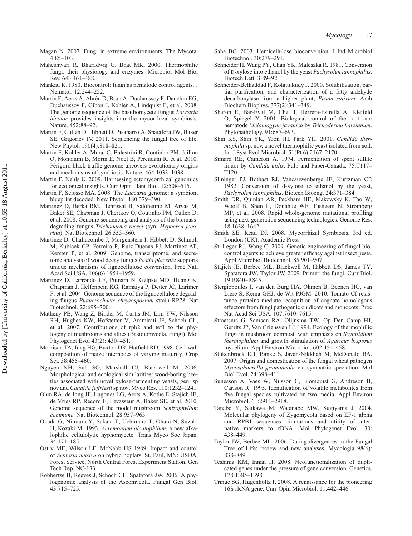- Magan N. 2007. Fungi in extreme environments. The Mycota. 4:85–103.
- Maheshwari R, Bharadwaj G, Bhat MK. 2000. Thermophilic fungi: their physiology and enzymes. Microbiol Mol Biol Rev. 643:461–488.
- Mankau R. 1980. Biocontrol: fungi as nematode control agents. J Nematol. 12:244–252.
- Martin F, Aerts A, Ahrén D, Brun A, Duchaussoy F, Danchin EG, Duchaussoy F, Gibon J, Kohler A, Lindquist E, et al. 2008. The genome sequence of the basidiomycete fungus *Laccaria bicolor* provides insights into the mycorrhizal symbiosis. Nature. 452:88–92.
- Martin F, Cullen D, Hibbett D, Pisabarro A, Spatafora JW, Baker SE, Grigoriev IV. 2011. Sequencing the fungal tree of life. New Phytol. 190(4):818–821.
- Martin F, Kohler A, Murat C, Balestrini R, Coutinho PM, Jaillon O, Montanini B, Morin E, Noel B, Percudani R, et al. 2010. Périgord black truffle genome uncovers evolutionary origins and mechanisms of symbiosis. Nature. 464:1033–1038.
- Martin F, Nehls U. 2009. Harnessing ectomycorrhizal genomics for ecological insights. Curr Opin Plant Biol. 12:508–515.
- Martin F, Selosse MA. 2008. The *Laccaria* genome: a symbiont blueprint decoded. New Phytol. 180:379–390.
- Martinez D, Berka RM, Henrissat B, Saloheimo M, Arvas M, Baker SE, Chapman J, Chertkov O, Coutinho PM, Cullen D, et al. 2008. Genome sequencing and analysis of the biomassdegrading fungus *Trichoderma reesei* (syn. *Hypocrea jecorina*). Nat Biotechnol. 26:553–560.
- Martinez D, Challacombe J, Morgenstern I, Hibbett D, Schmoll M, Kubicek CP, Ferreira P, Ruiz-Duenas FJ, Martinez AT, Kersten P, et al. 2009. Genome, transcriptome, and secretome analysis of wood decay fungus *Postia placenta* supports unique mechanisms of lignocellulose conversion. Proc Natl Acad Sci USA. 106(6):1954–1959.
- Martinez D, Larrondo LF, Putnam N, Gelpke MD, Huang K, Chapman J, Helfenbein KG, Ramaiya P, Detter JC, Larimer F, et al. 2004. Genome sequence of the lignocellulose degrading fungus *Phanerochaete chrysosporium* strain RP78. Nat Biotechnol. 22:695–700.
- Matheny PB, Wang Z, Binder M, Curtis JM, Lim YW, Nilsson RH, Hughes KW, Hofstetter V, Ammirati JF, Schoch CL, et al. 2007. Contributions of rpb2 and tef1 to the phylogeny of mushrooms and allies (Basidiomycota, Fungi). Mol Phylogenet Evol 43(2): 430–451.
- Morrison TA, Jung HG, Buxton DR, Hatfield RD. 1998. Cell-wall composition of maize internodes of varying maturity. Crop Sci. 38:455–460.
- Nguyen NH, Suh SO, Marshall CJ, Blackwell M. 2006. Morphological and ecological similarities: wood-boring beetles associated with novel xylose-fermenting yeasts, gen. sp nov and *Candida jeffriesii*sp nov. Myco Res. 110:1232–1241.
- Ohm RA, de Jong JF, Lugones LG, Aerts A, Kothe E, Stajich JE, de Vries RP, Record E, Levasseur A, Baker SE, et al. 2010. Genome sequence of the model mushroom *Schizophyllum commune*. Nat Biotechnol. 28:957–963.
- Okada G, Niimura Y, Sakata T, Uchimura T, Ohara N, Suzuki H, Kozaki M. 1993. *Acremonium alcalophilum*, a new alkalophilic cellulolytic hyphomycete. Trans Myco Soc Japan. 34:171–185.
- Ostry ME, Wilson LF, McNabb HS 1989. Impact and control of *Septoria musiva* on hybrid poplars. St. Paul, MN: USDA, Forest Service, North Central Forest Experiment Station. Gen Tech Rep. NC-133.
- Robbertse B, Reeves J, Schoch CL, Spatafora JW. 2006. A phylogenomic analysis of the Ascomycota. Fungal Gen Biol. 43:715–725.
- Saha BC. 2003. Hemicellulose bioconversion. J Ind Microbiol Biotechnol. 30:279–291.
- Schneider H, Wang PY, Chan YK, Maleszka R. 1981. Conversion of D-xylose into ethanol by the yeast *Pachysolen tannophilus*. Biotech Lett. 3:89–92.
- Schneider-Belhaddad F, Kolattukudy P. 2000. Solubilization, partial purification, and characterization of a fatty aldehyde decarbonylase from a higher plant, *Pisum sativum*. Arch Biochem Biophys. 377(2):341–349.
- Sharon E, Bar-Eyal M, Chet I, Herrera-Estrella A, Kleifeld O, Spiegel Y. 2001. Biological control of the root-knot nematode *Meloidogyne javanica* by *Trichoderma harzianum*. Phytopathology. 91:687–693.
- Shin KS, Shin YK, Yoon JH, Park YH. 2001. *Candida thermophila* sp. nov, a novel thermophilic yeast isolated from soil. Int J Syst Evol Microbiol. 51(Pt 6):2167–2170.
- Simard RE, Cameron A. 1974. Fermentation of spent sulfite liquor by *Candida utilis*. Pulp and Paper-Canada. 75:T117– T120.
- Slininger PJ, Bothast RJ, Vancauwenberge JE, Kurtzman CP. 1982. Conversion of d-xylose to ethanol by the yeast, *Pachysolen tannophilus*. Biotech Bioeng. 24:371–384.
- Smith DR, Quinlan AR, Peckham HE, Makowsky K, Tao W, Woolf B, Shen L, Donahue WF, Tusneem N, Stromberg MP, et al. 2008. Rapid whole-genome mutational profiling using next-generation sequencing technologies. Genome Res. 18:1638–1642.
- Smith SE, Read DJ. 2008. Mycorrhizal Symbiosis. 3rd ed. London (UK): Academic Press.
- St. Leger RJ, Wang C. 2009. Genetic engineering of fungal biocontrol agents to achieve greater efficacy against insect pests. Appl Microbiol Biotechnol. 85:901–907.
- Stajich JE, Berbee ML, Blackwell M, Hibbett DS, James TY, Spatafora JW, Taylor JW. 2009. Primer: the fungi. Curr Biol. 19:R840–R845.
- Stergiopoulos I, van den Burg HA, Okmen B, Beenen HG, van Liere S, Kema GHJ, de Wit PJGM. 2010. Tomato Cf resistance proteins mediate recognition of cognate homologous effectors from fungi pathogenic on dicots and monocots. Proc Nat Acad Sci USA. 107:7610–7615.
- Straatsma G, Samson RA, Olijnsma TW, Op Den Camp HJ, Gerrits JP, Van Griensven LJ. 1994. Ecology of thermophilic fungi in mushroom compost, with emphasis on *Scytalidium thermophilum* and growth stimulation of *Agaricus bisporus* mycelium. Appl Environ Microbiol. 602:454–458.
- Stukenbrock EH, Banke S, Javan-Nikkhah M, McDonald BA. 2007. Origin and domestication of the fungal wheat pathogen *Mycosphaerella graminicola* via sympatric speciation. Mol Biol Evol. 24:398–411.
- Sunesson A, Vaes W, Nilsson C, Blomquist G, Andreson B, Carlson R. 1995. Identification of volatile metabolites from five fungal species cultivated on two media. Appl Environ Microbiol. 61:2911–2918.
- Tanabe Y, Saikawa M, Watanabe MW, Sugiyama J. 2004. Molecular phylogeny of Zygomycota based on EF-1 alpha and RPB1 sequences: limitations and utility of alternative markers to rDNA. Mol Phylogenet Evol. 30: 438–449.
- Taylor JW, Berbee ML. 2006. Dating divergences in the Fungal Tree of Life: review and new analyses. Mycologia 98(6): 838–849.
- Teshima KM, Innan H. 2008. Neofunctionalization of duplicated genes under the pressure of gene conversion. Genetics. 178:1385–1398.
- Tringe SG, Hugenholtz P. 2008. A renaissance for the pioneering 16S rRNA gene. Curr Opin Microbiol. 11:442–446.